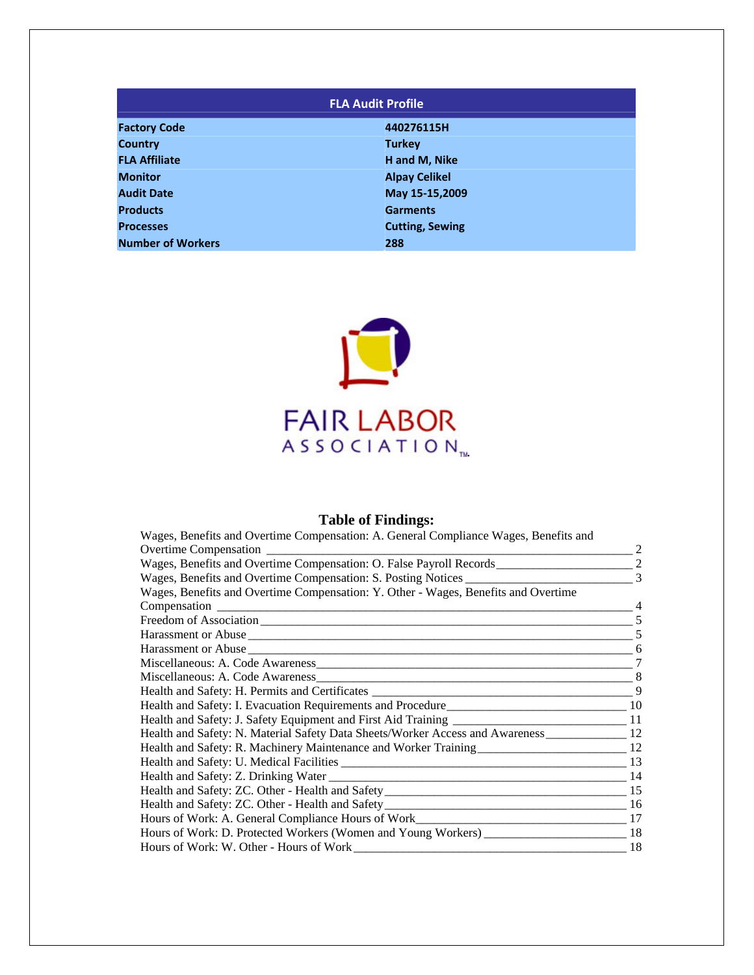| <b>FLA Audit Profile</b> |                        |  |  |
|--------------------------|------------------------|--|--|
| <b>Factory Code</b>      | 440276115H             |  |  |
| <b>Country</b>           | <b>Turkey</b>          |  |  |
| <b>FLA Affiliate</b>     | H and M, Nike          |  |  |
| <b>Monitor</b>           | <b>Alpay Celikel</b>   |  |  |
| <b>Audit Date</b>        | May 15-15,2009         |  |  |
| <b>Products</b>          | <b>Garments</b>        |  |  |
| <b>Processes</b>         | <b>Cutting, Sewing</b> |  |  |
| <b>Number of Workers</b> | 288                    |  |  |



# **Table of Findings:**

| Wages, Benefits and Overtime Compensation: A. General Compliance Wages, Benefits and            |   |
|-------------------------------------------------------------------------------------------------|---|
|                                                                                                 |   |
|                                                                                                 |   |
|                                                                                                 |   |
| Wages, Benefits and Overtime Compensation: Y. Other - Wages, Benefits and Overtime              |   |
|                                                                                                 |   |
|                                                                                                 |   |
|                                                                                                 |   |
|                                                                                                 |   |
|                                                                                                 |   |
|                                                                                                 | 8 |
|                                                                                                 | 9 |
|                                                                                                 |   |
|                                                                                                 |   |
| Health and Safety: N. Material Safety Data Sheets/Worker Access and Awareness ______________ 12 |   |
|                                                                                                 |   |
|                                                                                                 |   |
|                                                                                                 |   |
|                                                                                                 |   |
|                                                                                                 |   |
|                                                                                                 |   |
|                                                                                                 |   |
|                                                                                                 |   |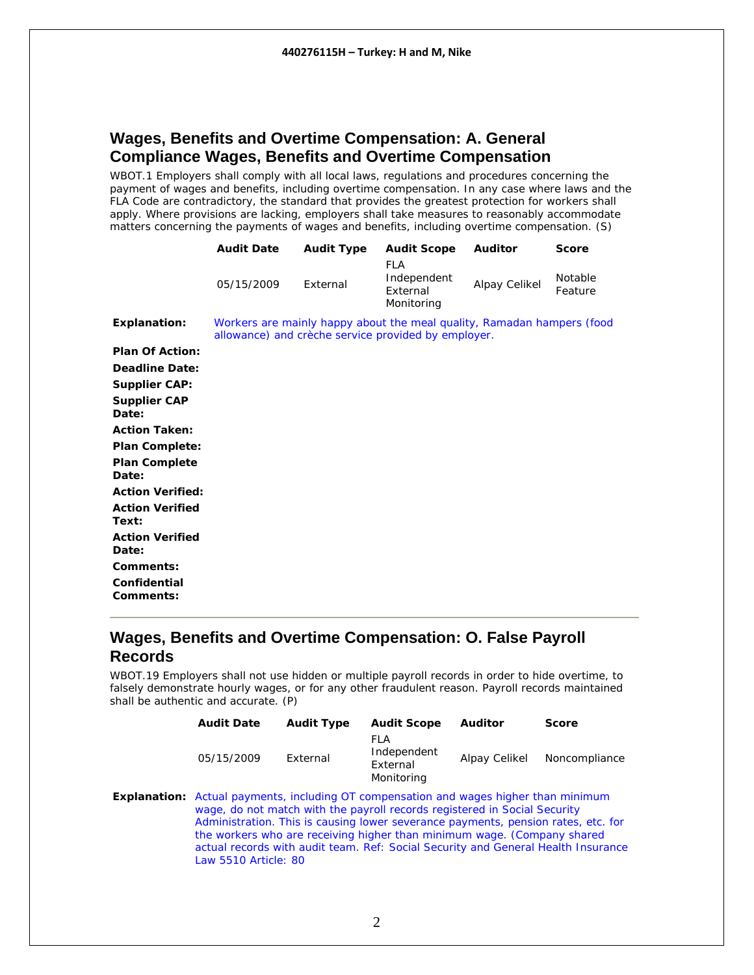### <span id="page-1-0"></span>**Wages, Benefits and Overtime Compensation: A. General Compliance Wages, Benefits and Overtime Compensation**

WBOT.1 Employers shall comply with all local laws, regulations and procedures concerning the payment of wages and benefits, including overtime compensation. In any case where laws and the FLA Code are contradictory, the standard that provides the greatest protection for workers shall apply. Where provisions are lacking, employers shall take measures to reasonably accommodate matters concerning the payments of wages and benefits, including overtime compensation. (S)

|                                 | <b>Audit Date</b> | <b>Audit Type</b> | <b>Audit Scope</b>                                                                                                            | <b>Auditor</b> | <b>Score</b>       |
|---------------------------------|-------------------|-------------------|-------------------------------------------------------------------------------------------------------------------------------|----------------|--------------------|
|                                 | 05/15/2009        | External          | <b>FLA</b><br>Independent<br>External<br>Monitoring                                                                           | Alpay Celikel  | Notable<br>Feature |
| <b>Explanation:</b>             |                   |                   | Workers are mainly happy about the meal quality, Ramadan hampers (food<br>allowance) and crèche service provided by employer. |                |                    |
| <b>Plan Of Action:</b>          |                   |                   |                                                                                                                               |                |                    |
| <b>Deadline Date:</b>           |                   |                   |                                                                                                                               |                |                    |
| <b>Supplier CAP:</b>            |                   |                   |                                                                                                                               |                |                    |
| <b>Supplier CAP</b><br>Date:    |                   |                   |                                                                                                                               |                |                    |
| <b>Action Taken:</b>            |                   |                   |                                                                                                                               |                |                    |
| <b>Plan Complete:</b>           |                   |                   |                                                                                                                               |                |                    |
| <b>Plan Complete</b><br>Date:   |                   |                   |                                                                                                                               |                |                    |
| <b>Action Verified:</b>         |                   |                   |                                                                                                                               |                |                    |
| <b>Action Verified</b><br>Text: |                   |                   |                                                                                                                               |                |                    |
| <b>Action Verified</b><br>Date: |                   |                   |                                                                                                                               |                |                    |
| Comments:                       |                   |                   |                                                                                                                               |                |                    |
| Confidential<br>Comments:       |                   |                   |                                                                                                                               |                |                    |

#### **Wages, Benefits and Overtime Compensation: O. False Payroll Records**

WBOT.19 Employers shall not use hidden or multiple payroll records in order to hide overtime, to falsely demonstrate hourly wages, or for any other fraudulent reason. Payroll records maintained shall be authentic and accurate. (P)

| <b>Audit Date</b>                                                                                                                                                                                                                                                                                                                                                 | <b>Audit Type</b> | <b>Audit Scope</b>                           | Auditor       | Score                                                                             |
|-------------------------------------------------------------------------------------------------------------------------------------------------------------------------------------------------------------------------------------------------------------------------------------------------------------------------------------------------------------------|-------------------|----------------------------------------------|---------------|-----------------------------------------------------------------------------------|
| 05/15/2009                                                                                                                                                                                                                                                                                                                                                        | External          | FLA<br>Independent<br>External<br>Monitoring | Alpay Celikel | Noncompliance                                                                     |
| <b>Explanation:</b> Actual payments, including OT compensation and wages higher than minimum<br>wage, do not match with the payroll records registered in Social Security<br>Administration. This is causing lower severance payments, pension rates, etc. for<br>the workers who are receiving higher than minimum wage. (Company shared<br>Law 5510 Article: 80 |                   |                                              |               | actual records with audit team. Ref: Social Security and General Health Insurance |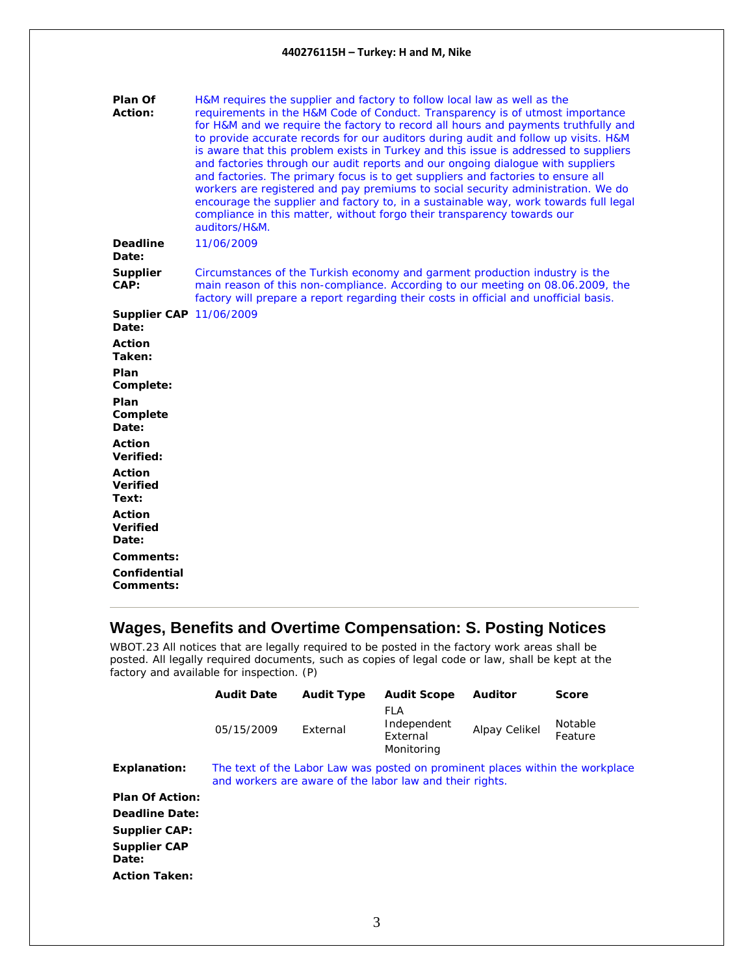<span id="page-2-0"></span>

| Plan Of<br><b>Action:</b>                 | H&M requires the supplier and factory to follow local law as well as the<br>requirements in the H&M Code of Conduct. Transparency is of utmost importance<br>for H&M and we require the factory to record all hours and payments truthfully and<br>to provide accurate records for our auditors during audit and follow up visits. H&M<br>is aware that this problem exists in Turkey and this issue is addressed to suppliers<br>and factories through our audit reports and our ongoing dialogue with suppliers<br>and factories. The primary focus is to get suppliers and factories to ensure all<br>workers are registered and pay premiums to social security administration. We do<br>encourage the supplier and factory to, in a sustainable way, work towards full legal<br>compliance in this matter, without forgo their transparency towards our<br>auditors/H&M. |
|-------------------------------------------|-------------------------------------------------------------------------------------------------------------------------------------------------------------------------------------------------------------------------------------------------------------------------------------------------------------------------------------------------------------------------------------------------------------------------------------------------------------------------------------------------------------------------------------------------------------------------------------------------------------------------------------------------------------------------------------------------------------------------------------------------------------------------------------------------------------------------------------------------------------------------------|
| <b>Deadline</b><br>Date:                  | 11/06/2009                                                                                                                                                                                                                                                                                                                                                                                                                                                                                                                                                                                                                                                                                                                                                                                                                                                                    |
| Supplier<br>CAP:                          | Circumstances of the Turkish economy and garment production industry is the<br>main reason of this non-compliance. According to our meeting on 08.06.2009, the<br>factory will prepare a report regarding their costs in official and unofficial basis.                                                                                                                                                                                                                                                                                                                                                                                                                                                                                                                                                                                                                       |
| <b>Supplier CAP 11/06/2009</b><br>Date:   |                                                                                                                                                                                                                                                                                                                                                                                                                                                                                                                                                                                                                                                                                                                                                                                                                                                                               |
| <b>Action</b><br>Taken:                   |                                                                                                                                                                                                                                                                                                                                                                                                                                                                                                                                                                                                                                                                                                                                                                                                                                                                               |
| Plan<br>Complete:                         |                                                                                                                                                                                                                                                                                                                                                                                                                                                                                                                                                                                                                                                                                                                                                                                                                                                                               |
| Plan<br>Complete<br>Date:                 |                                                                                                                                                                                                                                                                                                                                                                                                                                                                                                                                                                                                                                                                                                                                                                                                                                                                               |
| <b>Action</b><br>Verified:                |                                                                                                                                                                                                                                                                                                                                                                                                                                                                                                                                                                                                                                                                                                                                                                                                                                                                               |
| <b>Action</b><br><b>Verified</b><br>Text: |                                                                                                                                                                                                                                                                                                                                                                                                                                                                                                                                                                                                                                                                                                                                                                                                                                                                               |
| <b>Action</b><br><b>Verified</b><br>Date: |                                                                                                                                                                                                                                                                                                                                                                                                                                                                                                                                                                                                                                                                                                                                                                                                                                                                               |
| Comments:                                 |                                                                                                                                                                                                                                                                                                                                                                                                                                                                                                                                                                                                                                                                                                                                                                                                                                                                               |
| Confidential<br>Comments:                 |                                                                                                                                                                                                                                                                                                                                                                                                                                                                                                                                                                                                                                                                                                                                                                                                                                                                               |

### **Wages, Benefits and Overtime Compensation: S. Posting Notices**

WBOT.23 All notices that are legally required to be posted in the factory work areas shall be posted. All legally required documents, such as copies of legal code or law, shall be kept at the factory and available for inspection. (P)

|                              | <b>Audit Date</b> | <b>Audit Type</b> | <b>Audit Scope</b>                                                                                                                        | <b>Auditor</b> | <b>Score</b>              |
|------------------------------|-------------------|-------------------|-------------------------------------------------------------------------------------------------------------------------------------------|----------------|---------------------------|
|                              | 05/15/2009        | External          | FLA<br>Independent<br>External<br>Monitoring                                                                                              | Alpay Celikel  | <b>Notable</b><br>Feature |
| <b>Explanation:</b>          |                   |                   | The text of the Labor Law was posted on prominent places within the workplace<br>and workers are aware of the labor law and their rights. |                |                           |
| <b>Plan Of Action:</b>       |                   |                   |                                                                                                                                           |                |                           |
| <b>Deadline Date:</b>        |                   |                   |                                                                                                                                           |                |                           |
| <b>Supplier CAP:</b>         |                   |                   |                                                                                                                                           |                |                           |
| <b>Supplier CAP</b><br>Date: |                   |                   |                                                                                                                                           |                |                           |
| <b>Action Taken:</b>         |                   |                   |                                                                                                                                           |                |                           |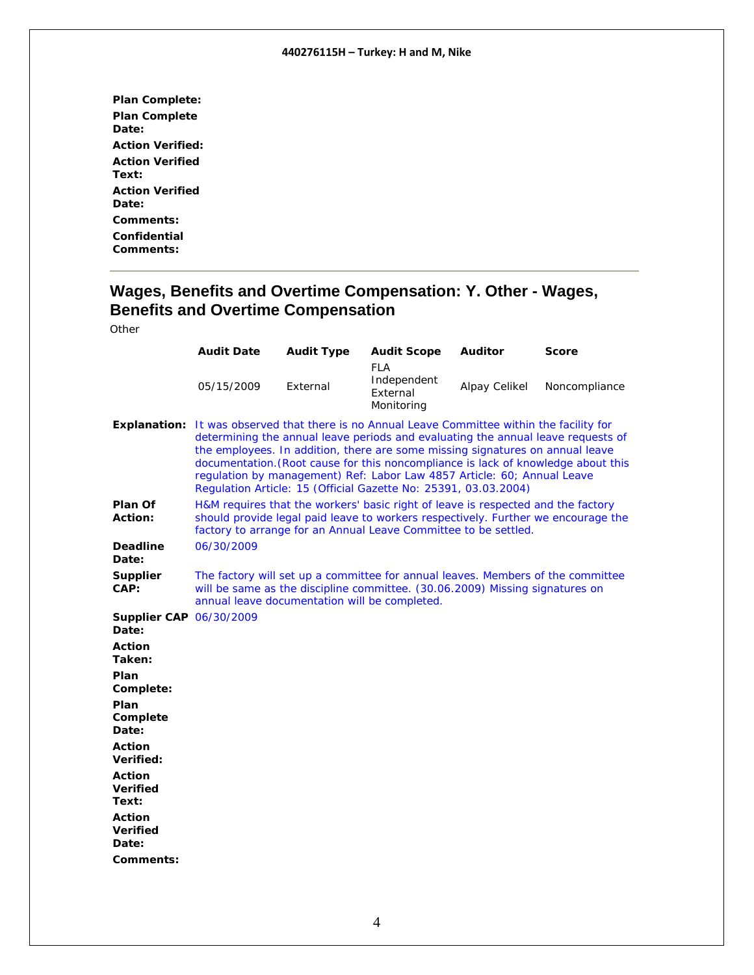<span id="page-3-0"></span>

| <b>Plan Complete:</b>   |
|-------------------------|
| <b>Plan Complete</b>    |
| Date:                   |
| <b>Action Verified:</b> |
| <b>Action Verified</b>  |
| Text:                   |
| <b>Action Verified</b>  |
| Date:                   |
| <b>Comments:</b>        |
| Confidential            |
| Comments:               |

#### **Wages, Benefits and Overtime Compensation: Y. Other - Wages, Benefits and Overtime Compensation**

|                                           | <b>Audit Date</b>                                                                                                                                                                                                                                                                                                                                                                                                                                                                                           | <b>Audit Type</b> | <b>Audit Scope</b>                                                                                                                                                                                                                       | <b>Auditor</b> | <b>Score</b>  |  |
|-------------------------------------------|-------------------------------------------------------------------------------------------------------------------------------------------------------------------------------------------------------------------------------------------------------------------------------------------------------------------------------------------------------------------------------------------------------------------------------------------------------------------------------------------------------------|-------------------|------------------------------------------------------------------------------------------------------------------------------------------------------------------------------------------------------------------------------------------|----------------|---------------|--|
|                                           | 05/15/2009                                                                                                                                                                                                                                                                                                                                                                                                                                                                                                  | External          | FLA<br>Independent<br>External<br>Monitoring                                                                                                                                                                                             | Alpay Celikel  | Noncompliance |  |
|                                           | <b>Explanation:</b> It was observed that there is no Annual Leave Committee within the facility for<br>determining the annual leave periods and evaluating the annual leave requests of<br>the employees. In addition, there are some missing signatures on annual leave<br>documentation. (Root cause for this noncompliance is lack of knowledge about this<br>regulation by management) Ref: Labor Law 4857 Article: 60; Annual Leave<br>Regulation Article: 15 (Official Gazette No: 25391, 03.03.2004) |                   |                                                                                                                                                                                                                                          |                |               |  |
| Plan Of<br>Action:                        |                                                                                                                                                                                                                                                                                                                                                                                                                                                                                                             |                   | H&M requires that the workers' basic right of leave is respected and the factory<br>should provide legal paid leave to workers respectively. Further we encourage the<br>factory to arrange for an Annual Leave Committee to be settled. |                |               |  |
| <b>Deadline</b><br>Date:                  | 06/30/2009                                                                                                                                                                                                                                                                                                                                                                                                                                                                                                  |                   |                                                                                                                                                                                                                                          |                |               |  |
| Supplier<br>CAP:                          | annual leave documentation will be completed.                                                                                                                                                                                                                                                                                                                                                                                                                                                               |                   | The factory will set up a committee for annual leaves. Members of the committee<br>will be same as the discipline committee. (30.06.2009) Missing signatures on                                                                          |                |               |  |
| <b>Supplier CAP 06/30/2009</b><br>Date:   |                                                                                                                                                                                                                                                                                                                                                                                                                                                                                                             |                   |                                                                                                                                                                                                                                          |                |               |  |
| <b>Action</b><br>Taken:                   |                                                                                                                                                                                                                                                                                                                                                                                                                                                                                                             |                   |                                                                                                                                                                                                                                          |                |               |  |
| Plan<br>Complete:                         |                                                                                                                                                                                                                                                                                                                                                                                                                                                                                                             |                   |                                                                                                                                                                                                                                          |                |               |  |
| Plan<br>Complete<br>Date:                 |                                                                                                                                                                                                                                                                                                                                                                                                                                                                                                             |                   |                                                                                                                                                                                                                                          |                |               |  |
| <b>Action</b><br>Verified:                |                                                                                                                                                                                                                                                                                                                                                                                                                                                                                                             |                   |                                                                                                                                                                                                                                          |                |               |  |
| <b>Action</b><br><b>Verified</b><br>Text: |                                                                                                                                                                                                                                                                                                                                                                                                                                                                                                             |                   |                                                                                                                                                                                                                                          |                |               |  |
| <b>Action</b><br><b>Verified</b><br>Date: |                                                                                                                                                                                                                                                                                                                                                                                                                                                                                                             |                   |                                                                                                                                                                                                                                          |                |               |  |
| Comments:                                 |                                                                                                                                                                                                                                                                                                                                                                                                                                                                                                             |                   |                                                                                                                                                                                                                                          |                |               |  |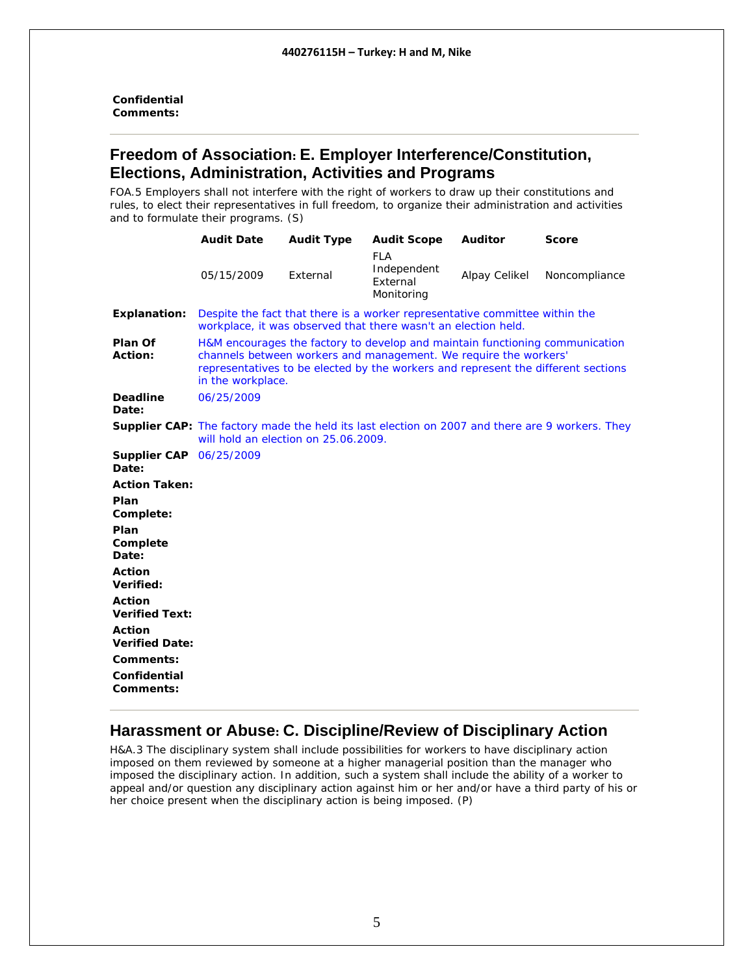<span id="page-4-0"></span>**Confidential Comments:** 

#### **Freedom of Association: E. Employer Interference/Constitution, Elections, Administration, Activities and Programs**

FOA.5 Employers shall not interfere with the right of workers to draw up their constitutions and rules, to elect their representatives in full freedom, to organize their administration and activities and to formulate their programs. (S)

|                                                                                  | <b>Audit Date</b>                    | <b>Audit Type</b> | <b>Audit Scope</b>                                                                                                                                                                                                                    | <b>Auditor</b> | <b>Score</b>                                                                                           |
|----------------------------------------------------------------------------------|--------------------------------------|-------------------|---------------------------------------------------------------------------------------------------------------------------------------------------------------------------------------------------------------------------------------|----------------|--------------------------------------------------------------------------------------------------------|
|                                                                                  | 05/15/2009                           | External          | <b>FLA</b><br>Independent<br>External<br>Monitoring                                                                                                                                                                                   | Alpay Celikel  | Noncompliance                                                                                          |
| <b>Explanation:</b>                                                              |                                      |                   | Despite the fact that there is a worker representative committee within the<br>workplace, it was observed that there wasn't an election held.                                                                                         |                |                                                                                                        |
| Plan Of<br>Action:                                                               | in the workplace.                    |                   | H&M encourages the factory to develop and maintain functioning communication<br>channels between workers and management. We require the workers'<br>representatives to be elected by the workers and represent the different sections |                |                                                                                                        |
| <b>Deadline</b><br>Date:                                                         | 06/25/2009                           |                   |                                                                                                                                                                                                                                       |                |                                                                                                        |
|                                                                                  | will hold an election on 25.06.2009. |                   |                                                                                                                                                                                                                                       |                | <b>Supplier CAP:</b> The factory made the held its last election on 2007 and there are 9 workers. They |
| <b>Supplier CAP</b> 06/25/2009<br>Date:                                          |                                      |                   |                                                                                                                                                                                                                                       |                |                                                                                                        |
| <b>Action Taken:</b>                                                             |                                      |                   |                                                                                                                                                                                                                                       |                |                                                                                                        |
| Plan<br>Complete:                                                                |                                      |                   |                                                                                                                                                                                                                                       |                |                                                                                                        |
| Plan<br>Complete<br>Date:                                                        |                                      |                   |                                                                                                                                                                                                                                       |                |                                                                                                        |
| Action<br>Verified:                                                              |                                      |                   |                                                                                                                                                                                                                                       |                |                                                                                                        |
| <b>Action</b><br><b>Verified Text:</b>                                           |                                      |                   |                                                                                                                                                                                                                                       |                |                                                                                                        |
| <b>Action</b><br><b>Verified Date:</b><br>Comments:<br>Confidential<br>Comments: |                                      |                   |                                                                                                                                                                                                                                       |                |                                                                                                        |

### **Harassment or Abuse: C. Discipline/Review of Disciplinary Action**

H&A.3 The disciplinary system shall include possibilities for workers to have disciplinary action imposed on them reviewed by someone at a higher managerial position than the manager who imposed the disciplinary action. In addition, such a system shall include the ability of a worker to appeal and/or question any disciplinary action against him or her and/or have a third party of his or her choice present when the disciplinary action is being imposed. (P)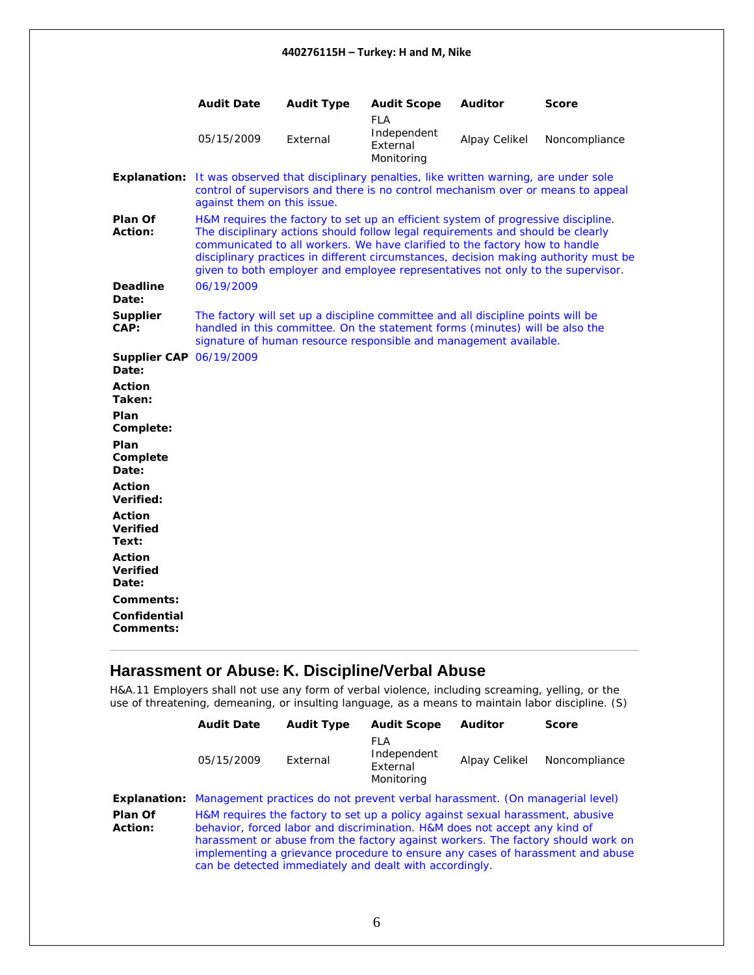<span id="page-5-0"></span>

|                                           | <b>Audit Date</b>                                                                                                                                                                                                                                                                                                                                                                                                              | <b>Audit Type</b> | <b>Audit Scope</b>                                                                                                                                                                                                                    | <b>Auditor</b> | <b>Score</b>  |
|-------------------------------------------|--------------------------------------------------------------------------------------------------------------------------------------------------------------------------------------------------------------------------------------------------------------------------------------------------------------------------------------------------------------------------------------------------------------------------------|-------------------|---------------------------------------------------------------------------------------------------------------------------------------------------------------------------------------------------------------------------------------|----------------|---------------|
|                                           | 05/15/2009                                                                                                                                                                                                                                                                                                                                                                                                                     | External          | <b>FLA</b><br>Independent<br>External<br>Monitoring                                                                                                                                                                                   | Alpay Celikel  | Noncompliance |
| <b>Explanation:</b>                       | It was observed that disciplinary penalties, like written warning, are under sole<br>against them on this issue.                                                                                                                                                                                                                                                                                                               |                   | control of supervisors and there is no control mechanism over or means to appeal                                                                                                                                                      |                |               |
| Plan Of<br><b>Action:</b>                 | H&M requires the factory to set up an efficient system of progressive discipline.<br>The disciplinary actions should follow legal requirements and should be clearly<br>communicated to all workers. We have clarified to the factory how to handle<br>disciplinary practices in different circumstances, decision making authority must be<br>given to both employer and employee representatives not only to the supervisor. |                   |                                                                                                                                                                                                                                       |                |               |
| <b>Deadline</b><br>Date:                  | 06/19/2009                                                                                                                                                                                                                                                                                                                                                                                                                     |                   |                                                                                                                                                                                                                                       |                |               |
| <b>Supplier</b><br>CAP:                   |                                                                                                                                                                                                                                                                                                                                                                                                                                |                   | The factory will set up a discipline committee and all discipline points will be<br>handled in this committee. On the statement forms (minutes) will be also the<br>signature of human resource responsible and management available. |                |               |
| <b>Supplier CAP 06/19/2009</b><br>Date:   |                                                                                                                                                                                                                                                                                                                                                                                                                                |                   |                                                                                                                                                                                                                                       |                |               |
| <b>Action</b><br>Taken:                   |                                                                                                                                                                                                                                                                                                                                                                                                                                |                   |                                                                                                                                                                                                                                       |                |               |
| Plan<br>Complete:                         |                                                                                                                                                                                                                                                                                                                                                                                                                                |                   |                                                                                                                                                                                                                                       |                |               |
| Plan<br>Complete<br>Date:                 |                                                                                                                                                                                                                                                                                                                                                                                                                                |                   |                                                                                                                                                                                                                                       |                |               |
| <b>Action</b><br>Verified:                |                                                                                                                                                                                                                                                                                                                                                                                                                                |                   |                                                                                                                                                                                                                                       |                |               |
| <b>Action</b><br><b>Verified</b><br>Text: |                                                                                                                                                                                                                                                                                                                                                                                                                                |                   |                                                                                                                                                                                                                                       |                |               |
| <b>Action</b><br><b>Verified</b><br>Date: |                                                                                                                                                                                                                                                                                                                                                                                                                                |                   |                                                                                                                                                                                                                                       |                |               |
| Comments:                                 |                                                                                                                                                                                                                                                                                                                                                                                                                                |                   |                                                                                                                                                                                                                                       |                |               |
| Confidential<br>Comments:                 |                                                                                                                                                                                                                                                                                                                                                                                                                                |                   |                                                                                                                                                                                                                                       |                |               |

### **Harassment or Abuse: K. Discipline/Verbal Abuse**

H&A.11 Employers shall not use any form of verbal violence, including screaming, yelling, or the use of threatening, demeaning, or insulting language, as a means to maintain labor discipline. (S)

|                    | <b>Audit Date</b>                                                                                | <b>Audit Type</b> | <b>Audit Scope</b>                                                                                                                                                                                                      | <b>Auditor</b> | Score                                                                                                                                                              |
|--------------------|--------------------------------------------------------------------------------------------------|-------------------|-------------------------------------------------------------------------------------------------------------------------------------------------------------------------------------------------------------------------|----------------|--------------------------------------------------------------------------------------------------------------------------------------------------------------------|
|                    | 05/15/2009                                                                                       | External          | FLA<br>Independent<br>External<br>Monitoring                                                                                                                                                                            | Alpay Celikel  | Noncompliance                                                                                                                                                      |
|                    | <b>Explanation:</b> Management practices do not prevent verbal harassment. (On managerial level) |                   |                                                                                                                                                                                                                         |                |                                                                                                                                                                    |
| Plan Of<br>Action: |                                                                                                  |                   | H&M requires the factory to set up a policy against sexual harassment, abusive<br>behavior, forced labor and discrimination. H&M does not accept any kind of<br>can be detected immediately and dealt with accordingly. |                | harassment or abuse from the factory against workers. The factory should work on<br>implementing a grievance procedure to ensure any cases of harassment and abuse |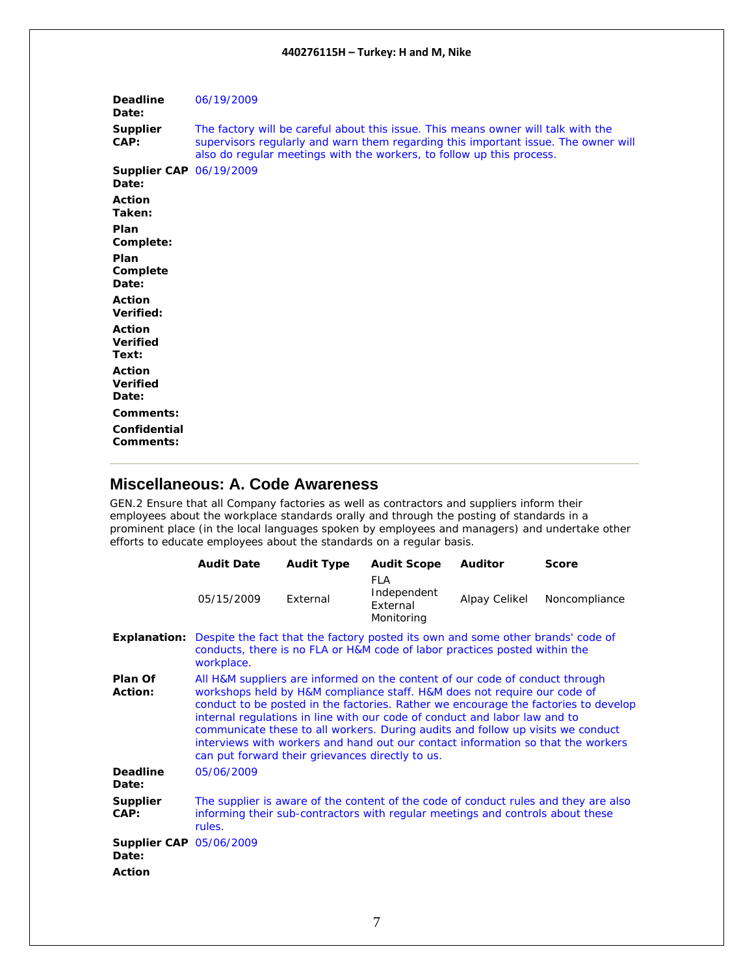<span id="page-6-0"></span>

| <b>Deadline</b><br>Date:                | 06/19/2009                                                                                                                                                                                                                                       |
|-----------------------------------------|--------------------------------------------------------------------------------------------------------------------------------------------------------------------------------------------------------------------------------------------------|
| <b>Supplier</b><br>CAP:                 | The factory will be careful about this issue. This means owner will talk with the<br>supervisors regularly and warn them regarding this important issue. The owner will<br>also do regular meetings with the workers, to follow up this process. |
| <b>Supplier CAP 06/19/2009</b><br>Date: |                                                                                                                                                                                                                                                  |
| <b>Action</b><br>Taken:                 |                                                                                                                                                                                                                                                  |
| Plan<br>Complete:                       |                                                                                                                                                                                                                                                  |
| Plan<br>Complete<br>Date:               |                                                                                                                                                                                                                                                  |
| <b>Action</b><br>Verified:              |                                                                                                                                                                                                                                                  |
| Action<br><b>Verified</b><br>Text:      |                                                                                                                                                                                                                                                  |
| Action<br><b>Verified</b><br>Date:      |                                                                                                                                                                                                                                                  |
| Comments:                               |                                                                                                                                                                                                                                                  |
| Confidential<br>Comments:               |                                                                                                                                                                                                                                                  |

### **Miscellaneous: A. Code Awareness**

GEN.2 Ensure that all Company factories as well as contractors and suppliers inform their employees about the workplace standards orally and through the posting of standards in a prominent place (in the local languages spoken by employees and managers) and undertake other efforts to educate employees about the standards on a regular basis.

|                                         | <b>Audit Date</b>                                                                                                                                                                                                                                                                                                                                                                                                                                                                                                                                        | <b>Audit Type</b>                                                                                                                                             | <b>Audit Scope</b>                                                             | <b>Auditor</b> | <b>Score</b>                                                                        |  |
|-----------------------------------------|----------------------------------------------------------------------------------------------------------------------------------------------------------------------------------------------------------------------------------------------------------------------------------------------------------------------------------------------------------------------------------------------------------------------------------------------------------------------------------------------------------------------------------------------------------|---------------------------------------------------------------------------------------------------------------------------------------------------------------|--------------------------------------------------------------------------------|----------------|-------------------------------------------------------------------------------------|--|
|                                         | 05/15/2009                                                                                                                                                                                                                                                                                                                                                                                                                                                                                                                                               | External                                                                                                                                                      | <b>FLA</b><br>Independent<br>External<br>Monitoring                            | Alpay Celikel  | Noncompliance                                                                       |  |
| <b>Explanation:</b>                     | workplace.                                                                                                                                                                                                                                                                                                                                                                                                                                                                                                                                               | Despite the fact that the factory posted its own and some other brands' code of<br>conducts, there is no FLA or H&M code of labor practices posted within the |                                                                                |                |                                                                                     |  |
| Plan Of<br>Action:                      | All H&M suppliers are informed on the content of our code of conduct through<br>workshops held by H&M compliance staff. H&M does not require our code of<br>conduct to be posted in the factories. Rather we encourage the factories to develop<br>internal regulations in line with our code of conduct and labor law and to<br>communicate these to all workers. During audits and follow up visits we conduct<br>interviews with workers and hand out our contact information so that the workers<br>can put forward their grievances directly to us. |                                                                                                                                                               |                                                                                |                |                                                                                     |  |
| <b>Deadline</b><br>Date:                | 05/06/2009                                                                                                                                                                                                                                                                                                                                                                                                                                                                                                                                               |                                                                                                                                                               |                                                                                |                |                                                                                     |  |
| Supplier<br>CAP:                        | rules.                                                                                                                                                                                                                                                                                                                                                                                                                                                                                                                                                   |                                                                                                                                                               | informing their sub-contractors with regular meetings and controls about these |                | The supplier is aware of the content of the code of conduct rules and they are also |  |
| <b>Supplier CAP 05/06/2009</b><br>Date: |                                                                                                                                                                                                                                                                                                                                                                                                                                                                                                                                                          |                                                                                                                                                               |                                                                                |                |                                                                                     |  |
| <b>Action</b>                           |                                                                                                                                                                                                                                                                                                                                                                                                                                                                                                                                                          |                                                                                                                                                               |                                                                                |                |                                                                                     |  |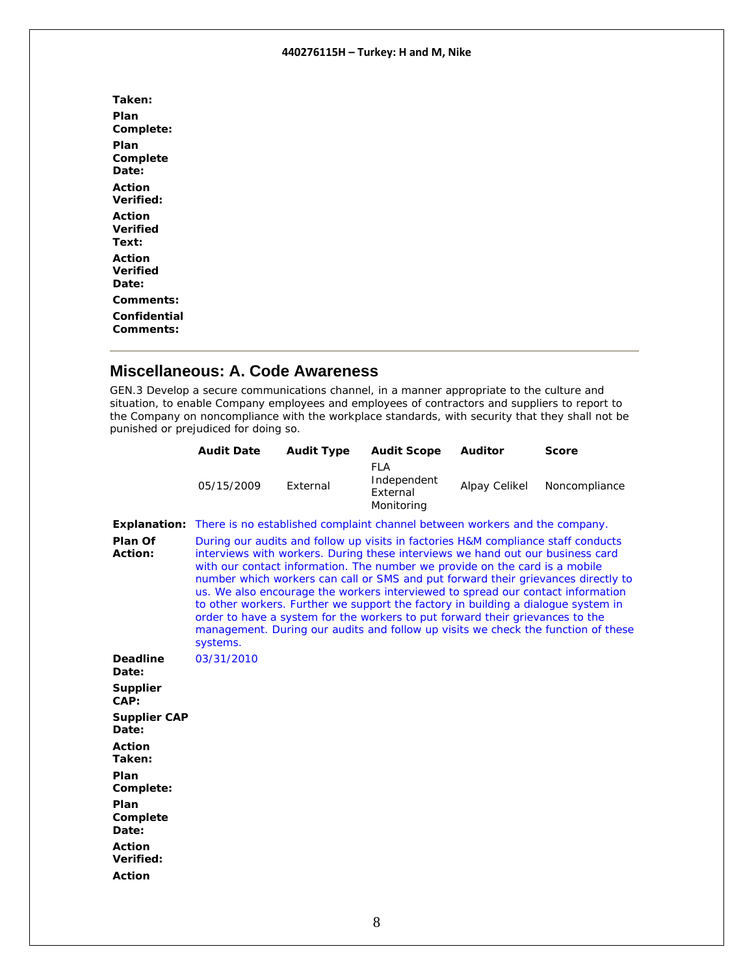<span id="page-7-0"></span>**Taken: Plan Complete: Plan Complete Date: Action Verified: Action Verified Text: Action Verified Date: Comments: Confidential Comments:** 

### **Miscellaneous: A. Code Awareness**

GEN.3 Develop a secure communications channel, in a manner appropriate to the culture and situation, to enable Company employees and employees of contractors and suppliers to report to the Company on noncompliance with the workplace standards, with security that they shall not be punished or prejudiced for doing so.

|                              | <b>Audit Date</b>                                                                                                                                                                                                                                                                                                                                                                                                                                                                                                       | <b>Audit Type</b> | <b>Audit Scope</b>                                  | <b>Auditor</b> | <b>Score</b>                                                                                                                                                           |
|------------------------------|-------------------------------------------------------------------------------------------------------------------------------------------------------------------------------------------------------------------------------------------------------------------------------------------------------------------------------------------------------------------------------------------------------------------------------------------------------------------------------------------------------------------------|-------------------|-----------------------------------------------------|----------------|------------------------------------------------------------------------------------------------------------------------------------------------------------------------|
|                              | 05/15/2009                                                                                                                                                                                                                                                                                                                                                                                                                                                                                                              | External          | <b>FLA</b><br>Independent<br>External<br>Monitoring | Alpay Celikel  | Noncompliance                                                                                                                                                          |
| Explanation:                 | There is no established complaint channel between workers and the company.                                                                                                                                                                                                                                                                                                                                                                                                                                              |                   |                                                     |                |                                                                                                                                                                        |
| Plan Of<br>Action:           | During our audits and follow up visits in factories H&M compliance staff conducts<br>interviews with workers. During these interviews we hand out our business card<br>with our contact information. The number we provide on the card is a mobile<br>us. We also encourage the workers interviewed to spread our contact information<br>to other workers. Further we support the factory in building a dialogue system in<br>order to have a system for the workers to put forward their grievances to the<br>systems. |                   |                                                     |                | number which workers can call or SMS and put forward their grievances directly to<br>management. During our audits and follow up visits we check the function of these |
| <b>Deadline</b><br>Date:     | 03/31/2010                                                                                                                                                                                                                                                                                                                                                                                                                                                                                                              |                   |                                                     |                |                                                                                                                                                                        |
| <b>Supplier</b><br>CAP:      |                                                                                                                                                                                                                                                                                                                                                                                                                                                                                                                         |                   |                                                     |                |                                                                                                                                                                        |
| <b>Supplier CAP</b><br>Date: |                                                                                                                                                                                                                                                                                                                                                                                                                                                                                                                         |                   |                                                     |                |                                                                                                                                                                        |
| <b>Action</b><br>Taken:      |                                                                                                                                                                                                                                                                                                                                                                                                                                                                                                                         |                   |                                                     |                |                                                                                                                                                                        |
| Plan<br>Complete:            |                                                                                                                                                                                                                                                                                                                                                                                                                                                                                                                         |                   |                                                     |                |                                                                                                                                                                        |
| Plan<br>Complete<br>Date:    |                                                                                                                                                                                                                                                                                                                                                                                                                                                                                                                         |                   |                                                     |                |                                                                                                                                                                        |
| <b>Action</b><br>Verified:   |                                                                                                                                                                                                                                                                                                                                                                                                                                                                                                                         |                   |                                                     |                |                                                                                                                                                                        |
| <b>Action</b>                |                                                                                                                                                                                                                                                                                                                                                                                                                                                                                                                         |                   |                                                     |                |                                                                                                                                                                        |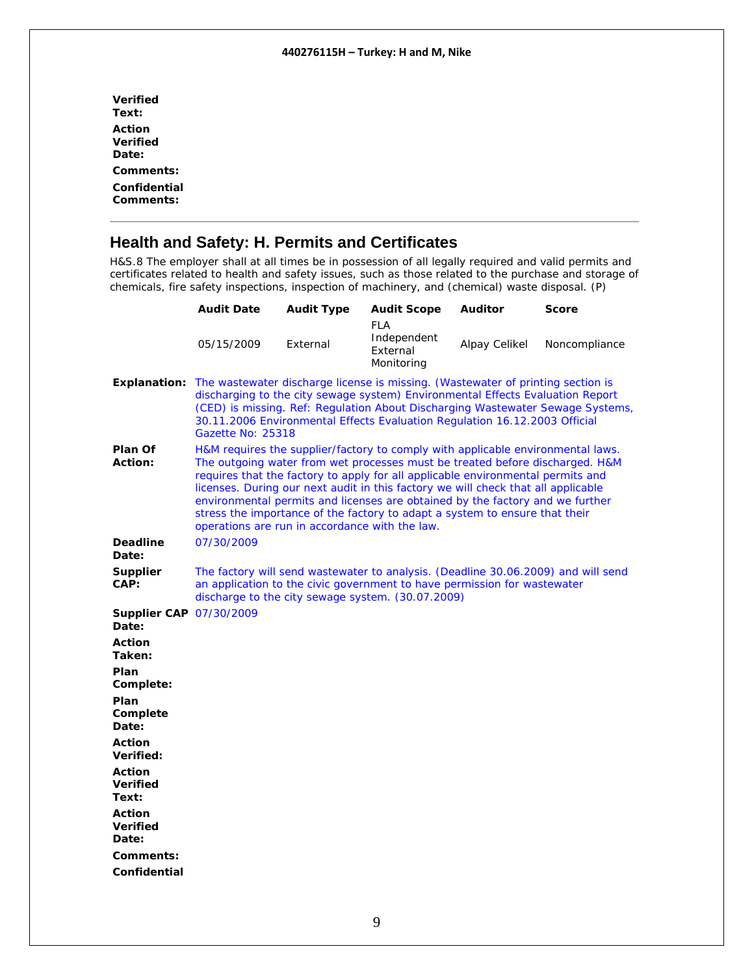<span id="page-8-0"></span>

| Action<br>Verified<br>Date:<br>Comments:<br>Confidential<br>Comments: | <b>Verified</b><br>Text: |
|-----------------------------------------------------------------------|--------------------------|
|                                                                       |                          |
|                                                                       |                          |
|                                                                       |                          |
|                                                                       |                          |

### **Health and Safety: H. Permits and Certificates**

H&S.8 The employer shall at all times be in possession of all legally required and valid permits and certificates related to health and safety issues, such as those related to the purchase and storage of chemicals, fire safety inspections, inspection of machinery, and (chemical) waste disposal. (P)

|                                           | <b>Audit Date</b>                                                                                                                                                                                                                                                                                                                                                                                                                                                                                                                                         | <b>Audit Type</b> | <b>Audit Scope</b>                                                                                                                                                                                                 | Auditor       | Score                                                                          |
|-------------------------------------------|-----------------------------------------------------------------------------------------------------------------------------------------------------------------------------------------------------------------------------------------------------------------------------------------------------------------------------------------------------------------------------------------------------------------------------------------------------------------------------------------------------------------------------------------------------------|-------------------|--------------------------------------------------------------------------------------------------------------------------------------------------------------------------------------------------------------------|---------------|--------------------------------------------------------------------------------|
|                                           | 05/15/2009                                                                                                                                                                                                                                                                                                                                                                                                                                                                                                                                                | External          | FLA<br>Independent<br>External<br>Monitoring                                                                                                                                                                       | Alpay Celikel | Noncompliance                                                                  |
|                                           | <b>Explanation:</b> The wastewater discharge license is missing. (Wastewater of printing section is<br>Gazette No: 25318                                                                                                                                                                                                                                                                                                                                                                                                                                  |                   | discharging to the city sewage system) Environmental Effects Evaluation Report<br>30.11.2006 Environmental Effects Evaluation Regulation 16.12.2003 Official                                                       |               | (CED) is missing. Ref: Regulation About Discharging Wastewater Sewage Systems, |
| Plan Of<br><b>Action:</b>                 | H&M requires the supplier/factory to comply with applicable environmental laws.<br>The outgoing water from wet processes must be treated before discharged. H&M<br>requires that the factory to apply for all applicable environmental permits and<br>licenses. During our next audit in this factory we will check that all applicable<br>environmental permits and licenses are obtained by the factory and we further<br>stress the importance of the factory to adapt a system to ensure that their<br>operations are run in accordance with the law. |                   |                                                                                                                                                                                                                    |               |                                                                                |
| <b>Deadline</b><br>Date:                  | 07/30/2009                                                                                                                                                                                                                                                                                                                                                                                                                                                                                                                                                |                   |                                                                                                                                                                                                                    |               |                                                                                |
| <b>Supplier</b><br>CAP:                   |                                                                                                                                                                                                                                                                                                                                                                                                                                                                                                                                                           |                   | The factory will send wastewater to analysis. (Deadline 30.06.2009) and will send<br>an application to the civic government to have permission for wastewater<br>discharge to the city sewage system. (30.07.2009) |               |                                                                                |
| Supplier CAP 07/30/2009<br>Date:          |                                                                                                                                                                                                                                                                                                                                                                                                                                                                                                                                                           |                   |                                                                                                                                                                                                                    |               |                                                                                |
| <b>Action</b><br>Taken:                   |                                                                                                                                                                                                                                                                                                                                                                                                                                                                                                                                                           |                   |                                                                                                                                                                                                                    |               |                                                                                |
| Plan<br>Complete:                         |                                                                                                                                                                                                                                                                                                                                                                                                                                                                                                                                                           |                   |                                                                                                                                                                                                                    |               |                                                                                |
| Plan<br>Complete<br>Date:                 |                                                                                                                                                                                                                                                                                                                                                                                                                                                                                                                                                           |                   |                                                                                                                                                                                                                    |               |                                                                                |
| <b>Action</b><br>Verified:                |                                                                                                                                                                                                                                                                                                                                                                                                                                                                                                                                                           |                   |                                                                                                                                                                                                                    |               |                                                                                |
| Action<br><b>Verified</b><br>Text:        |                                                                                                                                                                                                                                                                                                                                                                                                                                                                                                                                                           |                   |                                                                                                                                                                                                                    |               |                                                                                |
| <b>Action</b><br><b>Verified</b><br>Date: |                                                                                                                                                                                                                                                                                                                                                                                                                                                                                                                                                           |                   |                                                                                                                                                                                                                    |               |                                                                                |
| Comments:<br>Confidential                 |                                                                                                                                                                                                                                                                                                                                                                                                                                                                                                                                                           |                   |                                                                                                                                                                                                                    |               |                                                                                |
|                                           |                                                                                                                                                                                                                                                                                                                                                                                                                                                                                                                                                           |                   |                                                                                                                                                                                                                    |               |                                                                                |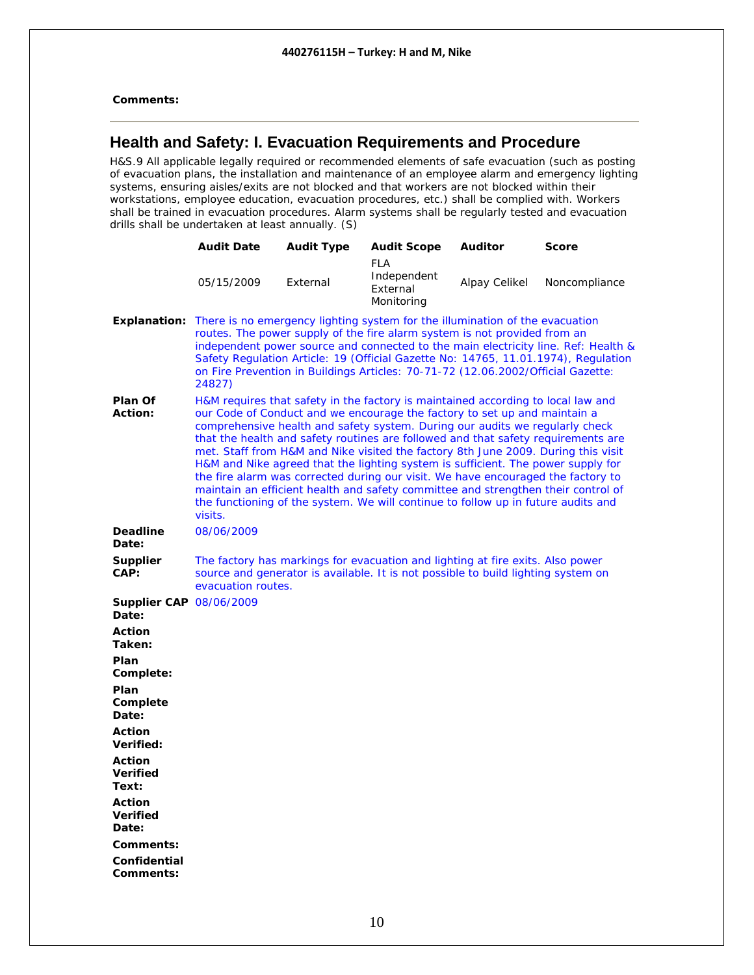<span id="page-9-0"></span>**Comments:** 

### **Health and Safety: I. Evacuation Requirements and Procedure**

H&S.9 All applicable legally required or recommended elements of safe evacuation (such as posting of evacuation plans, the installation and maintenance of an employee alarm and emergency lighting systems, ensuring aisles/exits are not blocked and that workers are not blocked within their workstations, employee education, evacuation procedures, etc.) shall be complied with. Workers shall be trained in evacuation procedures. Alarm systems shall be regularly tested and evacuation drills shall be undertaken at least annually. (S)

|                                           | <b>Audit Date</b>                                                                                          | <b>Audit Type</b> | <b>Audit Scope</b>                                                                                                                                                                                                                                                                                                                                                                                                                                                                                                                                                                                                                                                                                                                                                        | <b>Auditor</b> | <b>Score</b>                                                                                                                                                             |
|-------------------------------------------|------------------------------------------------------------------------------------------------------------|-------------------|---------------------------------------------------------------------------------------------------------------------------------------------------------------------------------------------------------------------------------------------------------------------------------------------------------------------------------------------------------------------------------------------------------------------------------------------------------------------------------------------------------------------------------------------------------------------------------------------------------------------------------------------------------------------------------------------------------------------------------------------------------------------------|----------------|--------------------------------------------------------------------------------------------------------------------------------------------------------------------------|
|                                           | 05/15/2009                                                                                                 | External          | <b>FLA</b><br>Independent<br>External<br>Monitoring                                                                                                                                                                                                                                                                                                                                                                                                                                                                                                                                                                                                                                                                                                                       | Alpay Celikel  | Noncompliance                                                                                                                                                            |
|                                           | <b>Explanation:</b> There is no emergency lighting system for the illumination of the evacuation<br>24827) |                   | routes. The power supply of the fire alarm system is not provided from an<br>on Fire Prevention in Buildings Articles: 70-71-72 (12.06.2002/Official Gazette:                                                                                                                                                                                                                                                                                                                                                                                                                                                                                                                                                                                                             |                | independent power source and connected to the main electricity line. Ref: Health &<br>Safety Regulation Article: 19 (Official Gazette No: 14765, 11.01.1974), Regulation |
| <b>Plan Of</b><br><b>Action:</b>          | visits.                                                                                                    |                   | H&M requires that safety in the factory is maintained according to local law and<br>our Code of Conduct and we encourage the factory to set up and maintain a<br>comprehensive health and safety system. During our audits we regularly check<br>that the health and safety routines are followed and that safety requirements are<br>met. Staff from H&M and Nike visited the factory 8th June 2009. During this visit<br>H&M and Nike agreed that the lighting system is sufficient. The power supply for<br>the fire alarm was corrected during our visit. We have encouraged the factory to<br>maintain an efficient health and safety committee and strengthen their control of<br>the functioning of the system. We will continue to follow up in future audits and |                |                                                                                                                                                                          |
| <b>Deadline</b><br>Date:                  | 08/06/2009                                                                                                 |                   |                                                                                                                                                                                                                                                                                                                                                                                                                                                                                                                                                                                                                                                                                                                                                                           |                |                                                                                                                                                                          |
| <b>Supplier</b><br>CAP:                   | evacuation routes.                                                                                         |                   | The factory has markings for evacuation and lighting at fire exits. Also power<br>source and generator is available. It is not possible to build lighting system on                                                                                                                                                                                                                                                                                                                                                                                                                                                                                                                                                                                                       |                |                                                                                                                                                                          |
| <b>Supplier CAP 08/06/2009</b><br>Date:   |                                                                                                            |                   |                                                                                                                                                                                                                                                                                                                                                                                                                                                                                                                                                                                                                                                                                                                                                                           |                |                                                                                                                                                                          |
| <b>Action</b><br>Taken:                   |                                                                                                            |                   |                                                                                                                                                                                                                                                                                                                                                                                                                                                                                                                                                                                                                                                                                                                                                                           |                |                                                                                                                                                                          |
| Plan<br>Complete:                         |                                                                                                            |                   |                                                                                                                                                                                                                                                                                                                                                                                                                                                                                                                                                                                                                                                                                                                                                                           |                |                                                                                                                                                                          |
| Plan<br>Complete<br>Date:                 |                                                                                                            |                   |                                                                                                                                                                                                                                                                                                                                                                                                                                                                                                                                                                                                                                                                                                                                                                           |                |                                                                                                                                                                          |
| <b>Action</b><br>Verified:                |                                                                                                            |                   |                                                                                                                                                                                                                                                                                                                                                                                                                                                                                                                                                                                                                                                                                                                                                                           |                |                                                                                                                                                                          |
| <b>Action</b><br><b>Verified</b><br>Text: |                                                                                                            |                   |                                                                                                                                                                                                                                                                                                                                                                                                                                                                                                                                                                                                                                                                                                                                                                           |                |                                                                                                                                                                          |
| Action<br><b>Verified</b><br>Date:        |                                                                                                            |                   |                                                                                                                                                                                                                                                                                                                                                                                                                                                                                                                                                                                                                                                                                                                                                                           |                |                                                                                                                                                                          |
| Comments:                                 |                                                                                                            |                   |                                                                                                                                                                                                                                                                                                                                                                                                                                                                                                                                                                                                                                                                                                                                                                           |                |                                                                                                                                                                          |
| Confidential<br>Comments:                 |                                                                                                            |                   |                                                                                                                                                                                                                                                                                                                                                                                                                                                                                                                                                                                                                                                                                                                                                                           |                |                                                                                                                                                                          |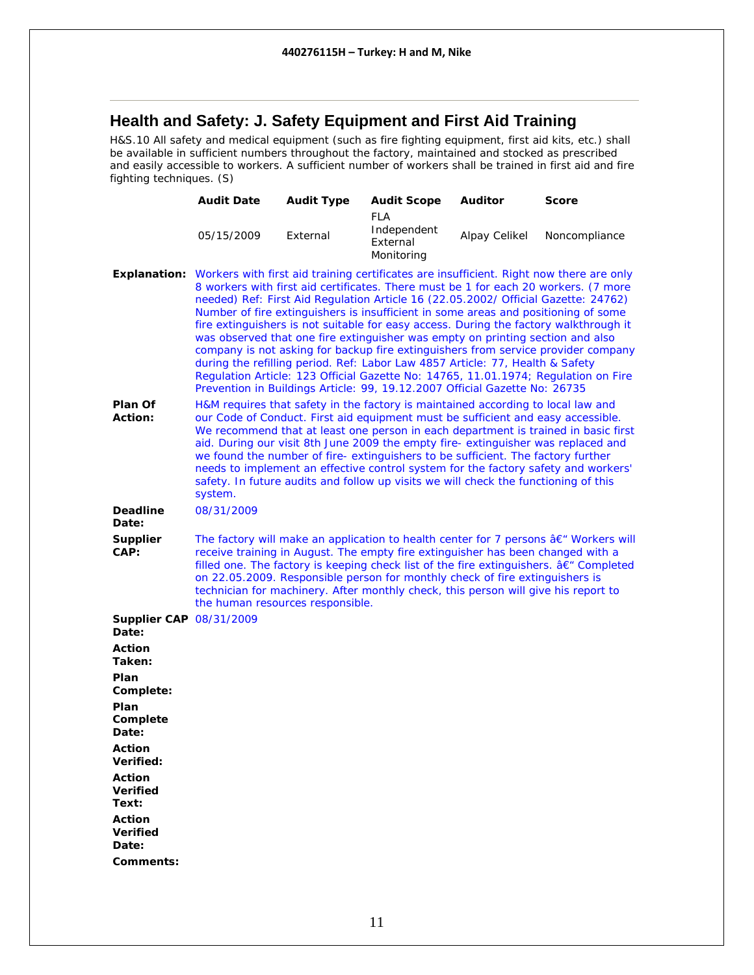### <span id="page-10-0"></span>**Health and Safety: J. Safety Equipment and First Aid Training**

H&S.10 All safety and medical equipment (such as fire fighting equipment, first aid kits, etc.) shall be available in sufficient numbers throughout the factory, maintained and stocked as prescribed and easily accessible to workers. A sufficient number of workers shall be trained in first aid and fire fighting techniques. (S)

|                                                          | <b>Audit Date</b>                | <b>Audit Type</b> | <b>Audit Scope</b>                                                                                                                                                                                                                                                                                                                                                                                                                  | <b>Auditor</b> | <b>Score</b>                                                                                                                                                                                                                                                                                                                                                                                                                                                           |
|----------------------------------------------------------|----------------------------------|-------------------|-------------------------------------------------------------------------------------------------------------------------------------------------------------------------------------------------------------------------------------------------------------------------------------------------------------------------------------------------------------------------------------------------------------------------------------|----------------|------------------------------------------------------------------------------------------------------------------------------------------------------------------------------------------------------------------------------------------------------------------------------------------------------------------------------------------------------------------------------------------------------------------------------------------------------------------------|
|                                                          | 05/15/2009                       | External          | <b>FLA</b><br>Independent<br>External<br>Monitoring                                                                                                                                                                                                                                                                                                                                                                                 | Alpay Celikel  | Noncompliance                                                                                                                                                                                                                                                                                                                                                                                                                                                          |
|                                                          |                                  |                   | needed) Ref: First Aid Regulation Article 16 (22.05.2002/ Official Gazette: 24762)<br>Number of fire extinguishers is insufficient in some areas and positioning of some<br>was observed that one fire extinguisher was empty on printing section and also<br>during the refilling period. Ref: Labor Law 4857 Article: 77, Health & Safety<br>Prevention in Buildings Article: 99, 19.12.2007 Official Gazette No: 26735           |                | <b>Explanation:</b> Workers with first aid training certificates are insufficient. Right now there are only<br>8 workers with first aid certificates. There must be 1 for each 20 workers. (7 more<br>fire extinguishers is not suitable for easy access. During the factory walkthrough it<br>company is not asking for backup fire extinguishers from service provider company<br>Regulation Article: 123 Official Gazette No: 14765, 11.01.1974; Regulation on Fire |
| Plan Of<br><b>Action:</b>                                | system.                          |                   | H&M requires that safety in the factory is maintained according to local law and<br>our Code of Conduct. First aid equipment must be sufficient and easy accessible.<br>aid. During our visit 8th June 2009 the empty fire- extinguisher was replaced and<br>we found the number of fire-extinguishers to be sufficient. The factory further<br>safety. In future audits and follow up visits we will check the functioning of this |                | We recommend that at least one person in each department is trained in basic first<br>needs to implement an effective control system for the factory safety and workers'                                                                                                                                                                                                                                                                                               |
| <b>Deadline</b><br>Date:                                 | 08/31/2009                       |                   |                                                                                                                                                                                                                                                                                                                                                                                                                                     |                |                                                                                                                                                                                                                                                                                                                                                                                                                                                                        |
| <b>Supplier</b><br>CAP:                                  | the human resources responsible. |                   | receive training in August. The empty fire extinguisher has been changed with a<br>on 22.05.2009. Responsible person for monthly check of fire extinguishers is<br>technician for machinery. After monthly check, this person will give his report to                                                                                                                                                                               |                | The factory will make an application to health center for 7 persons $a \in W$ Workers will<br>filled one. The factory is keeping check list of the fire extinguishers. a E" Completed                                                                                                                                                                                                                                                                                  |
| <b>Supplier CAP 08/31/2009</b><br>Date:<br><b>Action</b> |                                  |                   |                                                                                                                                                                                                                                                                                                                                                                                                                                     |                |                                                                                                                                                                                                                                                                                                                                                                                                                                                                        |
| Taken:                                                   |                                  |                   |                                                                                                                                                                                                                                                                                                                                                                                                                                     |                |                                                                                                                                                                                                                                                                                                                                                                                                                                                                        |
| Plan<br>Complete:                                        |                                  |                   |                                                                                                                                                                                                                                                                                                                                                                                                                                     |                |                                                                                                                                                                                                                                                                                                                                                                                                                                                                        |
| Plan<br>Complete<br><b>Date:</b>                         |                                  |                   |                                                                                                                                                                                                                                                                                                                                                                                                                                     |                |                                                                                                                                                                                                                                                                                                                                                                                                                                                                        |
| <b>Action</b><br>Verified:                               |                                  |                   |                                                                                                                                                                                                                                                                                                                                                                                                                                     |                |                                                                                                                                                                                                                                                                                                                                                                                                                                                                        |
| <b>Action</b><br><b>Verified</b><br>Text:                |                                  |                   |                                                                                                                                                                                                                                                                                                                                                                                                                                     |                |                                                                                                                                                                                                                                                                                                                                                                                                                                                                        |
| <b>Action</b><br><b>Verified</b><br>Date:                |                                  |                   |                                                                                                                                                                                                                                                                                                                                                                                                                                     |                |                                                                                                                                                                                                                                                                                                                                                                                                                                                                        |
| Comments:                                                |                                  |                   |                                                                                                                                                                                                                                                                                                                                                                                                                                     |                |                                                                                                                                                                                                                                                                                                                                                                                                                                                                        |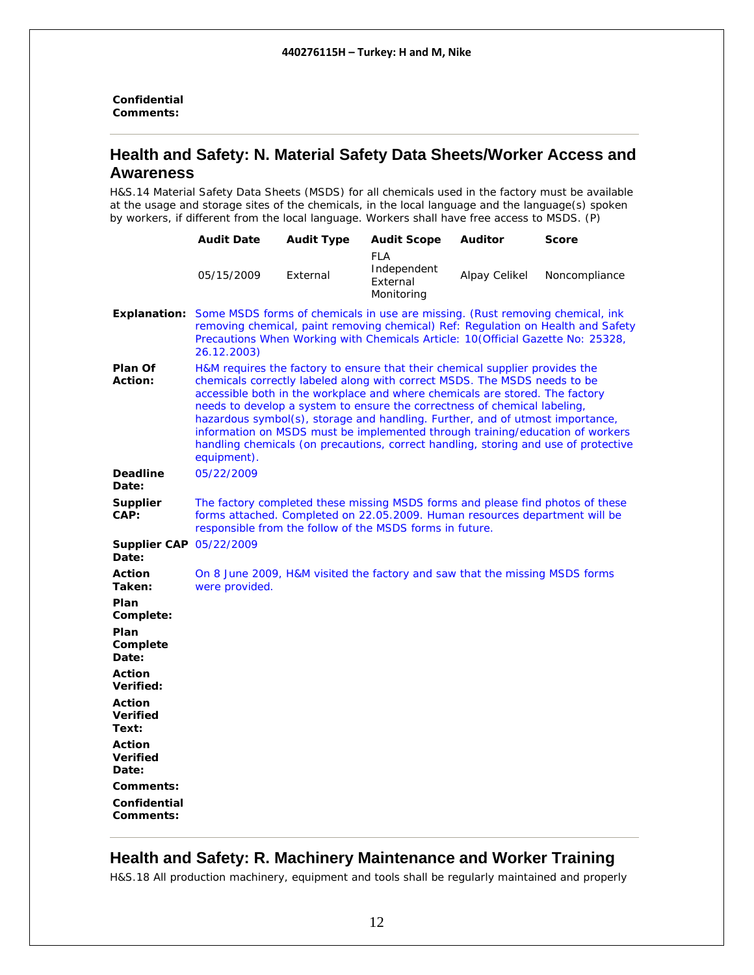<span id="page-11-0"></span>**Confidential Comments:** 

#### **Health and Safety: N. Material Safety Data Sheets/Worker Access and Awareness**

H&S.14 Material Safety Data Sheets (MSDS) for all chemicals used in the factory must be available at the usage and storage sites of the chemicals, in the local language and the language(s) spoken by workers, if different from the local language. Workers shall have free access to MSDS. (P)

|                                           | <b>Audit Date</b>                                                                                                                                                                                                                                                                                                                                                                                                                                                                                                                                                                              | <b>Audit Type</b>                                                                                                                                                                                                                                    | <b>Audit Scope</b>                                                          | <b>Auditor</b> | <b>Score</b>  |
|-------------------------------------------|------------------------------------------------------------------------------------------------------------------------------------------------------------------------------------------------------------------------------------------------------------------------------------------------------------------------------------------------------------------------------------------------------------------------------------------------------------------------------------------------------------------------------------------------------------------------------------------------|------------------------------------------------------------------------------------------------------------------------------------------------------------------------------------------------------------------------------------------------------|-----------------------------------------------------------------------------|----------------|---------------|
|                                           | 05/15/2009                                                                                                                                                                                                                                                                                                                                                                                                                                                                                                                                                                                     | External                                                                                                                                                                                                                                             | <b>FLA</b><br>Independent<br>External<br>Monitoring                         | Alpay Celikel  | Noncompliance |
| <b>Explanation:</b>                       | 26.12.2003)                                                                                                                                                                                                                                                                                                                                                                                                                                                                                                                                                                                    | Some MSDS forms of chemicals in use are missing. (Rust removing chemical, ink<br>removing chemical, paint removing chemical) Ref: Regulation on Health and Safety<br>Precautions When Working with Chemicals Article: 10(Official Gazette No: 25328, |                                                                             |                |               |
| Plan Of<br><b>Action:</b>                 | H&M requires the factory to ensure that their chemical supplier provides the<br>chemicals correctly labeled along with correct MSDS. The MSDS needs to be<br>accessible both in the workplace and where chemicals are stored. The factory<br>needs to develop a system to ensure the correctness of chemical labeling,<br>hazardous symbol(s), storage and handling. Further, and of utmost importance,<br>information on MSDS must be implemented through training/education of workers<br>handling chemicals (on precautions, correct handling, storing and use of protective<br>equipment). |                                                                                                                                                                                                                                                      |                                                                             |                |               |
| <b>Deadline</b><br>Date:                  | 05/22/2009                                                                                                                                                                                                                                                                                                                                                                                                                                                                                                                                                                                     |                                                                                                                                                                                                                                                      |                                                                             |                |               |
| <b>Supplier</b><br>CAP:                   | The factory completed these missing MSDS forms and please find photos of these<br>forms attached. Completed on 22.05.2009. Human resources department will be<br>responsible from the follow of the MSDS forms in future.                                                                                                                                                                                                                                                                                                                                                                      |                                                                                                                                                                                                                                                      |                                                                             |                |               |
| <b>Supplier CAP 05/22/2009</b><br>Date:   |                                                                                                                                                                                                                                                                                                                                                                                                                                                                                                                                                                                                |                                                                                                                                                                                                                                                      |                                                                             |                |               |
| <b>Action</b><br>Taken:                   | were provided.                                                                                                                                                                                                                                                                                                                                                                                                                                                                                                                                                                                 |                                                                                                                                                                                                                                                      | On 8 June 2009, H&M visited the factory and saw that the missing MSDS forms |                |               |
| Plan<br>Complete:                         |                                                                                                                                                                                                                                                                                                                                                                                                                                                                                                                                                                                                |                                                                                                                                                                                                                                                      |                                                                             |                |               |
| Plan<br>Complete<br>Date:                 |                                                                                                                                                                                                                                                                                                                                                                                                                                                                                                                                                                                                |                                                                                                                                                                                                                                                      |                                                                             |                |               |
| <b>Action</b><br>Verified:                |                                                                                                                                                                                                                                                                                                                                                                                                                                                                                                                                                                                                |                                                                                                                                                                                                                                                      |                                                                             |                |               |
| Action<br><b>Verified</b><br>Text:        |                                                                                                                                                                                                                                                                                                                                                                                                                                                                                                                                                                                                |                                                                                                                                                                                                                                                      |                                                                             |                |               |
| <b>Action</b><br><b>Verified</b><br>Date: |                                                                                                                                                                                                                                                                                                                                                                                                                                                                                                                                                                                                |                                                                                                                                                                                                                                                      |                                                                             |                |               |
| Comments:                                 |                                                                                                                                                                                                                                                                                                                                                                                                                                                                                                                                                                                                |                                                                                                                                                                                                                                                      |                                                                             |                |               |
| Confidential<br>Comments:                 |                                                                                                                                                                                                                                                                                                                                                                                                                                                                                                                                                                                                |                                                                                                                                                                                                                                                      |                                                                             |                |               |

### **Health and Safety: R. Machinery Maintenance and Worker Training**

H&S.18 All production machinery, equipment and tools shall be regularly maintained and properly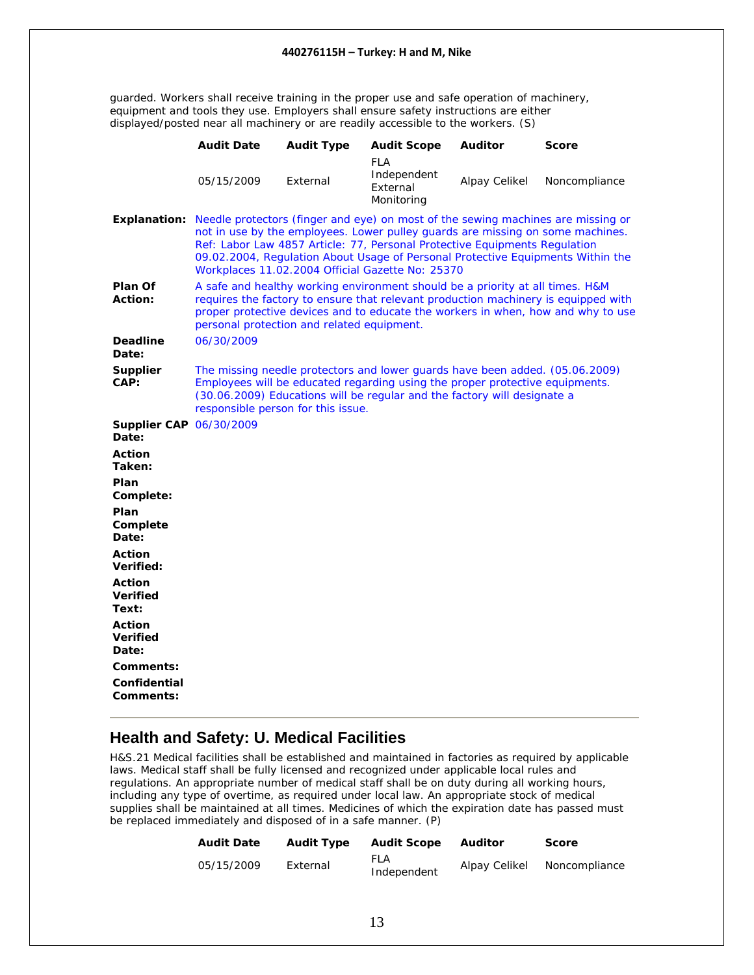<span id="page-12-0"></span>guarded. Workers shall receive training in the proper use and safe operation of machinery, equipment and tools they use. Employers shall ensure safety instructions are either displayed/posted near all machinery or are readily accessible to the workers. (S)

|                                           | <b>Audit Date</b>                          | <b>Audit Type</b> | <b>Audit Scope</b>                                                                                                                                                                                                                       | <b>Auditor</b> | <b>Score</b>                                                                                                                                                                     |
|-------------------------------------------|--------------------------------------------|-------------------|------------------------------------------------------------------------------------------------------------------------------------------------------------------------------------------------------------------------------------------|----------------|----------------------------------------------------------------------------------------------------------------------------------------------------------------------------------|
|                                           | 05/15/2009                                 | External          | <b>FLA</b><br>Independent<br>External<br>Monitoring                                                                                                                                                                                      | Alpay Celikel  | Noncompliance                                                                                                                                                                    |
|                                           |                                            |                   | not in use by the employees. Lower pulley guards are missing on some machines.<br>Ref: Labor Law 4857 Article: 77, Personal Protective Equipments Regulation<br>Workplaces 11.02.2004 Official Gazette No: 25370                         |                | Explanation: Needle protectors (finger and eye) on most of the sewing machines are missing or<br>09.02.2004, Regulation About Usage of Personal Protective Equipments Within the |
| Plan Of<br><b>Action:</b>                 | personal protection and related equipment. |                   | A safe and healthy working environment should be a priority at all times. H&M                                                                                                                                                            |                | requires the factory to ensure that relevant production machinery is equipped with<br>proper protective devices and to educate the workers in when, how and why to use           |
| <b>Deadline</b><br>Date:                  | 06/30/2009                                 |                   |                                                                                                                                                                                                                                          |                |                                                                                                                                                                                  |
| <b>Supplier</b><br>CAP:                   | responsible person for this issue.         |                   | The missing needle protectors and lower guards have been added. (05.06.2009)<br>Employees will be educated regarding using the proper protective equipments.<br>(30.06.2009) Educations will be regular and the factory will designate a |                |                                                                                                                                                                                  |
| <b>Supplier CAP 06/30/2009</b><br>Date:   |                                            |                   |                                                                                                                                                                                                                                          |                |                                                                                                                                                                                  |
| <b>Action</b><br>Taken:                   |                                            |                   |                                                                                                                                                                                                                                          |                |                                                                                                                                                                                  |
| Plan<br>Complete:                         |                                            |                   |                                                                                                                                                                                                                                          |                |                                                                                                                                                                                  |
| Plan<br>Complete<br>Date:                 |                                            |                   |                                                                                                                                                                                                                                          |                |                                                                                                                                                                                  |
| <b>Action</b><br>Verified:                |                                            |                   |                                                                                                                                                                                                                                          |                |                                                                                                                                                                                  |
| Action<br><b>Verified</b><br>Text:        |                                            |                   |                                                                                                                                                                                                                                          |                |                                                                                                                                                                                  |
| <b>Action</b><br><b>Verified</b><br>Date: |                                            |                   |                                                                                                                                                                                                                                          |                |                                                                                                                                                                                  |
| Comments:                                 |                                            |                   |                                                                                                                                                                                                                                          |                |                                                                                                                                                                                  |
| Confidential<br>Comments:                 |                                            |                   |                                                                                                                                                                                                                                          |                |                                                                                                                                                                                  |

### **Health and Safety: U. Medical Facilities**

H&S.21 Medical facilities shall be established and maintained in factories as required by applicable laws. Medical staff shall be fully licensed and recognized under applicable local rules and regulations. An appropriate number of medical staff shall be on duty during all working hours, including any type of overtime, as required under local law. An appropriate stock of medical supplies shall be maintained at all times. Medicines of which the expiration date has passed must be replaced immediately and disposed of in a safe manner. (P)

| <b>Audit Date</b> | <b>Audit Type</b> | <b>Audit Scope</b> | Auditor       | <b>Score</b>  |
|-------------------|-------------------|--------------------|---------------|---------------|
| 05/15/2009        | External          | FLA<br>Independent | Alpay Celikel | Noncompliance |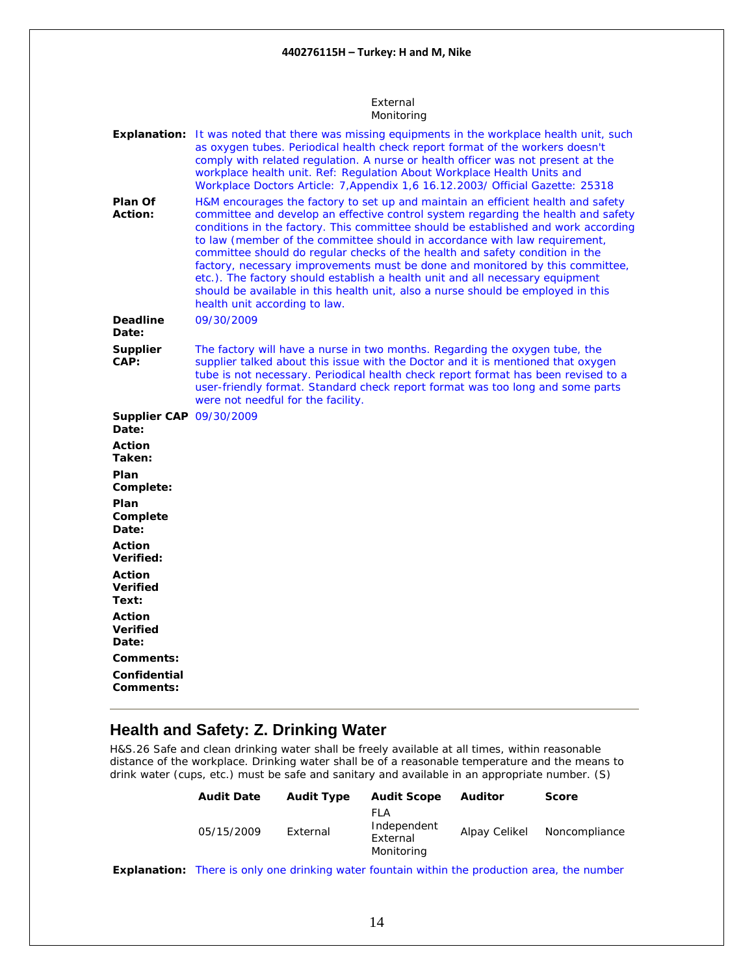#### External Monitoring

<span id="page-13-0"></span>

| Plan Of                                   | Explanation: It was noted that there was missing equipments in the workplace health unit, such<br>as oxygen tubes. Periodical health check report format of the workers doesn't<br>comply with related regulation. A nurse or health officer was not present at the<br>workplace health unit. Ref: Regulation About Workplace Health Units and<br>Workplace Doctors Article: 7, Appendix 1, 6 16.12.2003/ Official Gazette: 25318<br>H&M encourages the factory to set up and maintain an efficient health and safety                                                                                                        |
|-------------------------------------------|------------------------------------------------------------------------------------------------------------------------------------------------------------------------------------------------------------------------------------------------------------------------------------------------------------------------------------------------------------------------------------------------------------------------------------------------------------------------------------------------------------------------------------------------------------------------------------------------------------------------------|
| Action:                                   | committee and develop an effective control system regarding the health and safety<br>conditions in the factory. This committee should be established and work according<br>to law (member of the committee should in accordance with law requirement,<br>committee should do regular checks of the health and safety condition in the<br>factory, necessary improvements must be done and monitored by this committee,<br>etc.). The factory should establish a health unit and all necessary equipment<br>should be available in this health unit, also a nurse should be employed in this<br>health unit according to law. |
| <b>Deadline</b><br>Date:                  | 09/30/2009                                                                                                                                                                                                                                                                                                                                                                                                                                                                                                                                                                                                                   |
| <b>Supplier</b><br>CAP:                   | The factory will have a nurse in two months. Regarding the oxygen tube, the<br>supplier talked about this issue with the Doctor and it is mentioned that oxygen<br>tube is not necessary. Periodical health check report format has been revised to a<br>user-friendly format. Standard check report format was too long and some parts<br>were not needful for the facility.                                                                                                                                                                                                                                                |
| <b>Supplier CAP 09/30/2009</b><br>Date:   |                                                                                                                                                                                                                                                                                                                                                                                                                                                                                                                                                                                                                              |
| <b>Action</b><br>Taken:                   |                                                                                                                                                                                                                                                                                                                                                                                                                                                                                                                                                                                                                              |
| Plan<br>Complete:                         |                                                                                                                                                                                                                                                                                                                                                                                                                                                                                                                                                                                                                              |
| Plan<br>Complete<br>Date:                 |                                                                                                                                                                                                                                                                                                                                                                                                                                                                                                                                                                                                                              |
| <b>Action</b><br>Verified:                |                                                                                                                                                                                                                                                                                                                                                                                                                                                                                                                                                                                                                              |
| <b>Action</b><br><b>Verified</b><br>Text: |                                                                                                                                                                                                                                                                                                                                                                                                                                                                                                                                                                                                                              |
| Action<br><b>Verified</b><br>Date:        |                                                                                                                                                                                                                                                                                                                                                                                                                                                                                                                                                                                                                              |
| Comments:                                 |                                                                                                                                                                                                                                                                                                                                                                                                                                                                                                                                                                                                                              |
| Confidential<br>Comments:                 |                                                                                                                                                                                                                                                                                                                                                                                                                                                                                                                                                                                                                              |

### **Health and Safety: Z. Drinking Water**

H&S.26 Safe and clean drinking water shall be freely available at all times, within reasonable distance of the workplace. Drinking water shall be of a reasonable temperature and the means to drink water (cups, etc.) must be safe and sanitary and available in an appropriate number. (S)

| <b>Audit Date</b> | <b>Audit Type</b> | <b>Audit Scope</b>                            | <b>Auditor</b> | <b>Score</b>  |
|-------------------|-------------------|-----------------------------------------------|----------------|---------------|
| 05/15/2009        | External          | FI A<br>Independent<br>External<br>Monitoring | Alpay Celikel  | Noncompliance |

**Explanation:** There is only one drinking water fountain within the production area, the number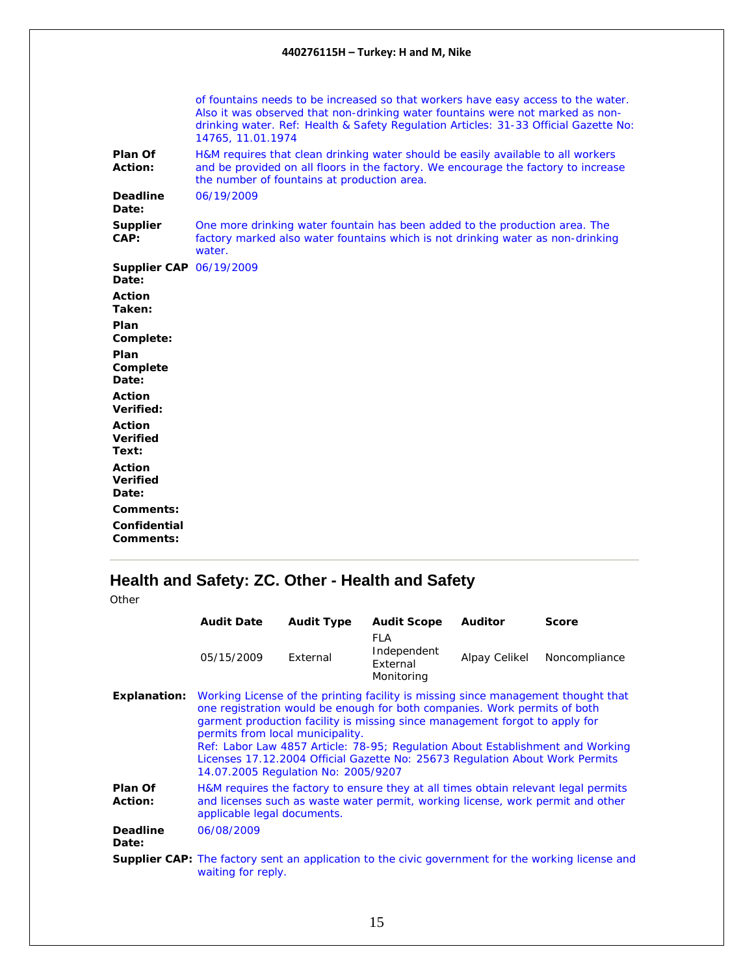<span id="page-14-0"></span>

|                                           | of fountains needs to be increased so that workers have easy access to the water.<br>Also it was observed that non-drinking water fountains were not marked as non-<br>drinking water. Ref: Health & Safety Regulation Articles: 31-33 Official Gazette No:<br>14765, 11.01.1974 |
|-------------------------------------------|----------------------------------------------------------------------------------------------------------------------------------------------------------------------------------------------------------------------------------------------------------------------------------|
| Plan Of<br>Action:                        | H&M requires that clean drinking water should be easily available to all workers<br>and be provided on all floors in the factory. We encourage the factory to increase<br>the number of fountains at production area.                                                            |
| <b>Deadline</b><br>Date:                  | 06/19/2009                                                                                                                                                                                                                                                                       |
| Supplier<br>CAP:                          | One more drinking water fountain has been added to the production area. The<br>factory marked also water fountains which is not drinking water as non-drinking<br>water.                                                                                                         |
| <b>Supplier CAP 06/19/2009</b><br>Date:   |                                                                                                                                                                                                                                                                                  |
| <b>Action</b><br>Taken:                   |                                                                                                                                                                                                                                                                                  |
| Plan<br>Complete:                         |                                                                                                                                                                                                                                                                                  |
| Plan<br>Complete<br>Date:                 |                                                                                                                                                                                                                                                                                  |
| <b>Action</b><br>Verified:                |                                                                                                                                                                                                                                                                                  |
| <b>Action</b><br><b>Verified</b><br>Text: |                                                                                                                                                                                                                                                                                  |
| <b>Action</b><br><b>Verified</b><br>Date: |                                                                                                                                                                                                                                                                                  |
| Comments:<br>Confidential                 |                                                                                                                                                                                                                                                                                  |
| Comments:                                 |                                                                                                                                                                                                                                                                                  |

# **Health and Safety: ZC. Other - Health and Safety**

|                          | <b>Audit Date</b>                                                                                                                                                                                                                                                                                                                                                                                                                                                                          | <b>Audit Type</b> | <b>Audit Scope</b>                                  | <b>Auditor</b> | <b>Score</b>                                                                                             |
|--------------------------|--------------------------------------------------------------------------------------------------------------------------------------------------------------------------------------------------------------------------------------------------------------------------------------------------------------------------------------------------------------------------------------------------------------------------------------------------------------------------------------------|-------------------|-----------------------------------------------------|----------------|----------------------------------------------------------------------------------------------------------|
|                          | 05/15/2009                                                                                                                                                                                                                                                                                                                                                                                                                                                                                 | External          | <b>FLA</b><br>Independent<br>External<br>Monitoring | Alpay Celikel  | Noncompliance                                                                                            |
| <b>Explanation:</b>      | Working License of the printing facility is missing since management thought that<br>one registration would be enough for both companies. Work permits of both<br>garment production facility is missing since management forgot to apply for<br>permits from local municipality.<br>Ref: Labor Law 4857 Article: 78-95; Regulation About Establishment and Working<br>Licenses 17.12.2004 Official Gazette No: 25673 Regulation About Work Permits<br>14.07.2005 Regulation No: 2005/9207 |                   |                                                     |                |                                                                                                          |
| Plan Of<br>Action:       | H&M requires the factory to ensure they at all times obtain relevant legal permits<br>and licenses such as waste water permit, working license, work permit and other<br>applicable legal documents.                                                                                                                                                                                                                                                                                       |                   |                                                     |                |                                                                                                          |
| <b>Deadline</b><br>Date: | 06/08/2009                                                                                                                                                                                                                                                                                                                                                                                                                                                                                 |                   |                                                     |                |                                                                                                          |
|                          | waiting for reply.                                                                                                                                                                                                                                                                                                                                                                                                                                                                         |                   |                                                     |                | <b>Supplier CAP:</b> The factory sent an application to the civic government for the working license and |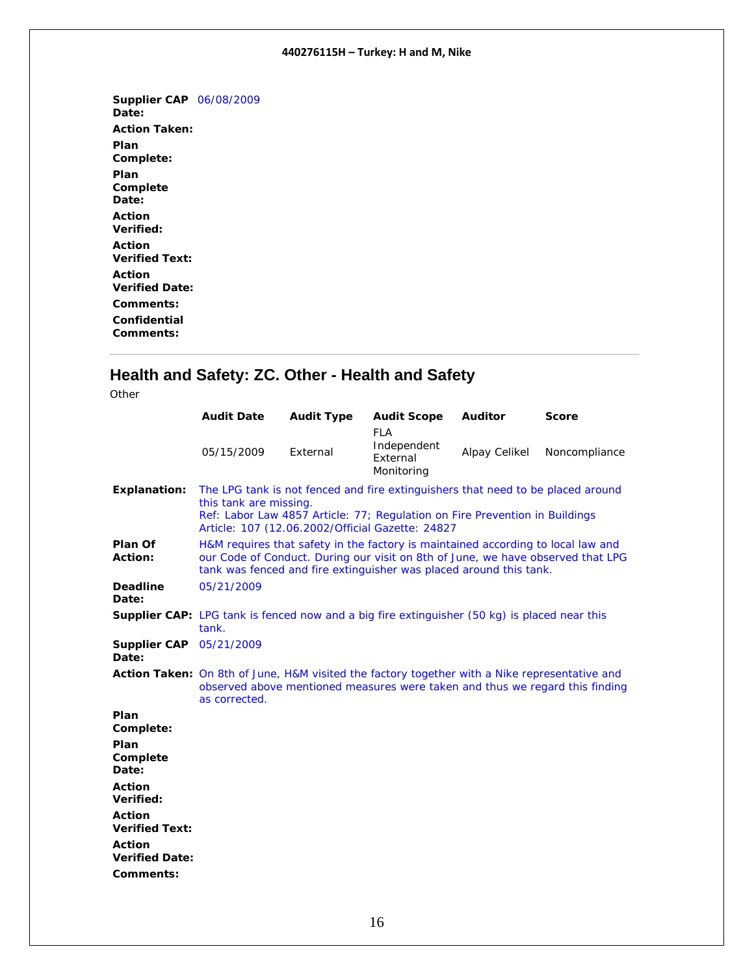<span id="page-15-0"></span>**Supplier CAP**  06/08/2009 **Date: Action Taken: Plan Complete: Plan Complete Date: Action Verified: Action Verified Text: Action Verified Date: Comments: Confidential Comments:** 

# **Health and Safety: ZC. Other - Health and Safety**

|                                         | <b>Audit Date</b>                                                                                                                                                                                                                            | <b>Audit Type</b> | <b>Audit Scope</b><br><b>FLA</b>                                             | <b>Auditor</b> | <b>Score</b>  |
|-----------------------------------------|----------------------------------------------------------------------------------------------------------------------------------------------------------------------------------------------------------------------------------------------|-------------------|------------------------------------------------------------------------------|----------------|---------------|
|                                         | 05/15/2009                                                                                                                                                                                                                                   | External          | Independent<br>External<br>Monitoring                                        | Alpay Celikel  | Noncompliance |
| <b>Explanation:</b>                     | The LPG tank is not fenced and fire extinguishers that need to be placed around<br>this tank are missing.<br>Ref: Labor Law 4857 Article: 77; Regulation on Fire Prevention in Buildings<br>Article: 107 (12.06.2002/Official Gazette: 24827 |                   |                                                                              |                |               |
| Plan Of<br><b>Action:</b>               | H&M requires that safety in the factory is maintained according to local law and<br>our Code of Conduct. During our visit on 8th of June, we have observed that LPG<br>tank was fenced and fire extinguisher was placed around this tank.    |                   |                                                                              |                |               |
| <b>Deadline</b><br>Date:                | 05/21/2009                                                                                                                                                                                                                                   |                   |                                                                              |                |               |
|                                         | <b>Supplier CAP:</b> LPG tank is fenced now and a big fire extinguisher (50 kg) is placed near this<br>tank.                                                                                                                                 |                   |                                                                              |                |               |
| <b>Supplier CAP</b> 05/21/2009<br>Date: |                                                                                                                                                                                                                                              |                   |                                                                              |                |               |
|                                         | Action Taken: On 8th of June, H&M visited the factory together with a Nike representative and<br>as corrected.                                                                                                                               |                   | observed above mentioned measures were taken and thus we regard this finding |                |               |
| Plan<br>Complete:                       |                                                                                                                                                                                                                                              |                   |                                                                              |                |               |
| Plan<br>Complete<br>Date:               |                                                                                                                                                                                                                                              |                   |                                                                              |                |               |
| <b>Action</b><br>Verified:              |                                                                                                                                                                                                                                              |                   |                                                                              |                |               |
| <b>Action</b><br><b>Verified Text:</b>  |                                                                                                                                                                                                                                              |                   |                                                                              |                |               |
| <b>Action</b><br><b>Verified Date:</b>  |                                                                                                                                                                                                                                              |                   |                                                                              |                |               |
| Comments:                               |                                                                                                                                                                                                                                              |                   |                                                                              |                |               |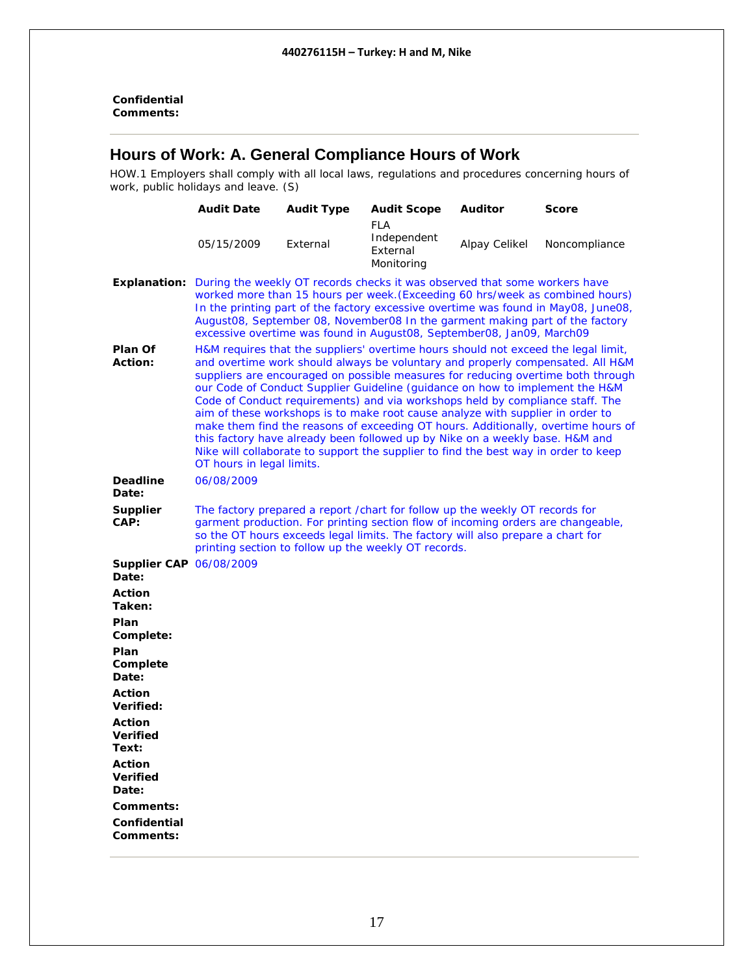#### <span id="page-16-0"></span>**Confidential Comments:**

### **Hours of Work: A. General Compliance Hours of Work**

HOW.1 Employers shall comply with all local laws, regulations and procedures concerning hours of work, public holidays and leave. (S)

|                                         | <b>Audit Date</b>                                                                                                                                                                                                                                                                                                                                                                                                                                                                                                                                                                                                                                                                                                                                                                                    | <b>Audit Type</b> | <b>Audit Scope</b>                                                                                                                                                                                                                                                                                           | <b>Auditor</b> | <b>Score</b>  |
|-----------------------------------------|------------------------------------------------------------------------------------------------------------------------------------------------------------------------------------------------------------------------------------------------------------------------------------------------------------------------------------------------------------------------------------------------------------------------------------------------------------------------------------------------------------------------------------------------------------------------------------------------------------------------------------------------------------------------------------------------------------------------------------------------------------------------------------------------------|-------------------|--------------------------------------------------------------------------------------------------------------------------------------------------------------------------------------------------------------------------------------------------------------------------------------------------------------|----------------|---------------|
|                                         | 05/15/2009                                                                                                                                                                                                                                                                                                                                                                                                                                                                                                                                                                                                                                                                                                                                                                                           | External          | <b>FLA</b><br>Independent<br>External<br>Monitoring                                                                                                                                                                                                                                                          | Alpay Celikel  | Noncompliance |
|                                         | <b>Explanation:</b> During the weekly OT records checks it was observed that some workers have<br>worked more than 15 hours per week. (Exceeding 60 hrs/week as combined hours)<br>In the printing part of the factory excessive overtime was found in May08, June08,<br>August08, September 08, November08 In the garment making part of the factory<br>excessive overtime was found in August08, September08, Jan09, March09                                                                                                                                                                                                                                                                                                                                                                       |                   |                                                                                                                                                                                                                                                                                                              |                |               |
| Plan Of<br><b>Action:</b>               | H&M requires that the suppliers' overtime hours should not exceed the legal limit,<br>and overtime work should always be voluntary and properly compensated. All H&M<br>suppliers are encouraged on possible measures for reducing overtime both through<br>our Code of Conduct Supplier Guideline (guidance on how to implement the H&M<br>Code of Conduct requirements) and via workshops held by compliance staff. The<br>aim of these workshops is to make root cause analyze with supplier in order to<br>make them find the reasons of exceeding OT hours. Additionally, overtime hours of<br>this factory have already been followed up by Nike on a weekly base. H&M and<br>Nike will collaborate to support the supplier to find the best way in order to keep<br>OT hours in legal limits. |                   |                                                                                                                                                                                                                                                                                                              |                |               |
| <b>Deadline</b><br>Date:                | 06/08/2009                                                                                                                                                                                                                                                                                                                                                                                                                                                                                                                                                                                                                                                                                                                                                                                           |                   |                                                                                                                                                                                                                                                                                                              |                |               |
| <b>Supplier</b><br>CAP:                 |                                                                                                                                                                                                                                                                                                                                                                                                                                                                                                                                                                                                                                                                                                                                                                                                      |                   | The factory prepared a report / chart for follow up the weekly OT records for<br>garment production. For printing section flow of incoming orders are changeable,<br>so the OT hours exceeds legal limits. The factory will also prepare a chart for<br>printing section to follow up the weekly OT records. |                |               |
| <b>Supplier CAP 06/08/2009</b><br>Date: |                                                                                                                                                                                                                                                                                                                                                                                                                                                                                                                                                                                                                                                                                                                                                                                                      |                   |                                                                                                                                                                                                                                                                                                              |                |               |
| <b>Action</b><br>Taken:                 |                                                                                                                                                                                                                                                                                                                                                                                                                                                                                                                                                                                                                                                                                                                                                                                                      |                   |                                                                                                                                                                                                                                                                                                              |                |               |
| Plan<br>Complete:                       |                                                                                                                                                                                                                                                                                                                                                                                                                                                                                                                                                                                                                                                                                                                                                                                                      |                   |                                                                                                                                                                                                                                                                                                              |                |               |
| Plan<br>Complete<br>Date:               |                                                                                                                                                                                                                                                                                                                                                                                                                                                                                                                                                                                                                                                                                                                                                                                                      |                   |                                                                                                                                                                                                                                                                                                              |                |               |
| <b>Action</b><br>Verified:              |                                                                                                                                                                                                                                                                                                                                                                                                                                                                                                                                                                                                                                                                                                                                                                                                      |                   |                                                                                                                                                                                                                                                                                                              |                |               |
| Action<br><b>Verified</b><br>Text:      |                                                                                                                                                                                                                                                                                                                                                                                                                                                                                                                                                                                                                                                                                                                                                                                                      |                   |                                                                                                                                                                                                                                                                                                              |                |               |
| Action<br><b>Verified</b><br>Date:      |                                                                                                                                                                                                                                                                                                                                                                                                                                                                                                                                                                                                                                                                                                                                                                                                      |                   |                                                                                                                                                                                                                                                                                                              |                |               |
| Comments:                               |                                                                                                                                                                                                                                                                                                                                                                                                                                                                                                                                                                                                                                                                                                                                                                                                      |                   |                                                                                                                                                                                                                                                                                                              |                |               |
| Confidential<br><b>Comments:</b>        |                                                                                                                                                                                                                                                                                                                                                                                                                                                                                                                                                                                                                                                                                                                                                                                                      |                   |                                                                                                                                                                                                                                                                                                              |                |               |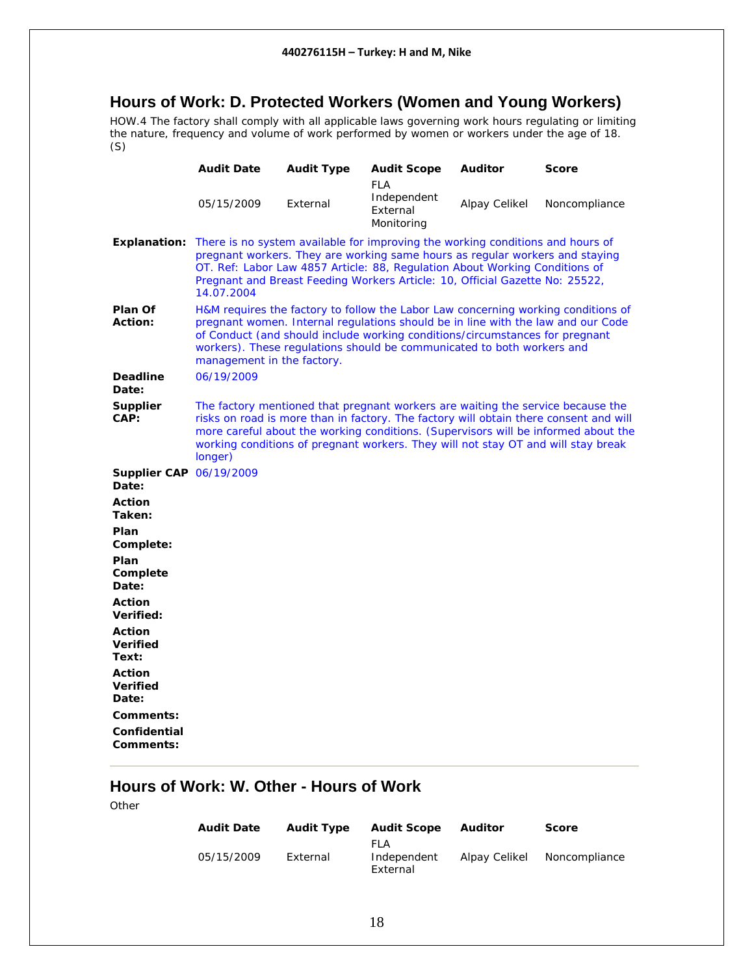#### <span id="page-17-0"></span>**Hours of Work: D. Protected Workers (Women and Young Workers)**

HOW.4 The factory shall comply with all applicable laws governing work hours regulating or limiting the nature, frequency and volume of work performed by women or workers under the age of 18. (S)

|                                           | <b>Audit Date</b>                                                                                                                                                                                                                                                                                                                                              | <b>Audit Type</b> | <b>Audit Scope</b>                                  | <b>Auditor</b> | <b>Score</b>  |
|-------------------------------------------|----------------------------------------------------------------------------------------------------------------------------------------------------------------------------------------------------------------------------------------------------------------------------------------------------------------------------------------------------------------|-------------------|-----------------------------------------------------|----------------|---------------|
|                                           | 05/15/2009                                                                                                                                                                                                                                                                                                                                                     | External          | <b>FLA</b><br>Independent<br>External<br>Monitoring | Alpay Celikel  | Noncompliance |
| <b>Explanation:</b>                       | There is no system available for improving the working conditions and hours of<br>pregnant workers. They are working same hours as regular workers and staying<br>OT. Ref: Labor Law 4857 Article: 88, Regulation About Working Conditions of<br>Pregnant and Breast Feeding Workers Article: 10, Official Gazette No: 25522,<br>14.07.2004                    |                   |                                                     |                |               |
| Plan Of<br>Action:                        | H&M requires the factory to follow the Labor Law concerning working conditions of<br>pregnant women. Internal regulations should be in line with the law and our Code<br>of Conduct (and should include working conditions/circumstances for pregnant<br>workers). These regulations should be communicated to both workers and<br>management in the factory.  |                   |                                                     |                |               |
| <b>Deadline</b><br>Date:                  | 06/19/2009                                                                                                                                                                                                                                                                                                                                                     |                   |                                                     |                |               |
| <b>Supplier</b><br>CAP:                   | The factory mentioned that pregnant workers are waiting the service because the<br>risks on road is more than in factory. The factory will obtain there consent and will<br>more careful about the working conditions. (Supervisors will be informed about the<br>working conditions of pregnant workers. They will not stay OT and will stay break<br>longer) |                   |                                                     |                |               |
| <b>Supplier CAP 06/19/2009</b><br>Date:   |                                                                                                                                                                                                                                                                                                                                                                |                   |                                                     |                |               |
| <b>Action</b><br>Taken:                   |                                                                                                                                                                                                                                                                                                                                                                |                   |                                                     |                |               |
| Plan<br>Complete:                         |                                                                                                                                                                                                                                                                                                                                                                |                   |                                                     |                |               |
| Plan<br>Complete<br>Date:                 |                                                                                                                                                                                                                                                                                                                                                                |                   |                                                     |                |               |
| <b>Action</b><br>Verified:                |                                                                                                                                                                                                                                                                                                                                                                |                   |                                                     |                |               |
| Action<br><b>Verified</b><br>Text:        |                                                                                                                                                                                                                                                                                                                                                                |                   |                                                     |                |               |
| <b>Action</b><br><b>Verified</b><br>Date: |                                                                                                                                                                                                                                                                                                                                                                |                   |                                                     |                |               |
| Comments:                                 |                                                                                                                                                                                                                                                                                                                                                                |                   |                                                     |                |               |
| Confidential<br>Comments:                 |                                                                                                                                                                                                                                                                                                                                                                |                   |                                                     |                |               |

# **Hours of Work: W. Other - Hours of Work**

| <b>Audit Date</b> | <b>Audit Type</b> | <b>Audit Scope</b>              | Auditor       | <b>Score</b>  |
|-------------------|-------------------|---------------------------------|---------------|---------------|
| 05/15/2009        | External          | FI A<br>Independent<br>External | Alpay Celikel | Noncompliance |